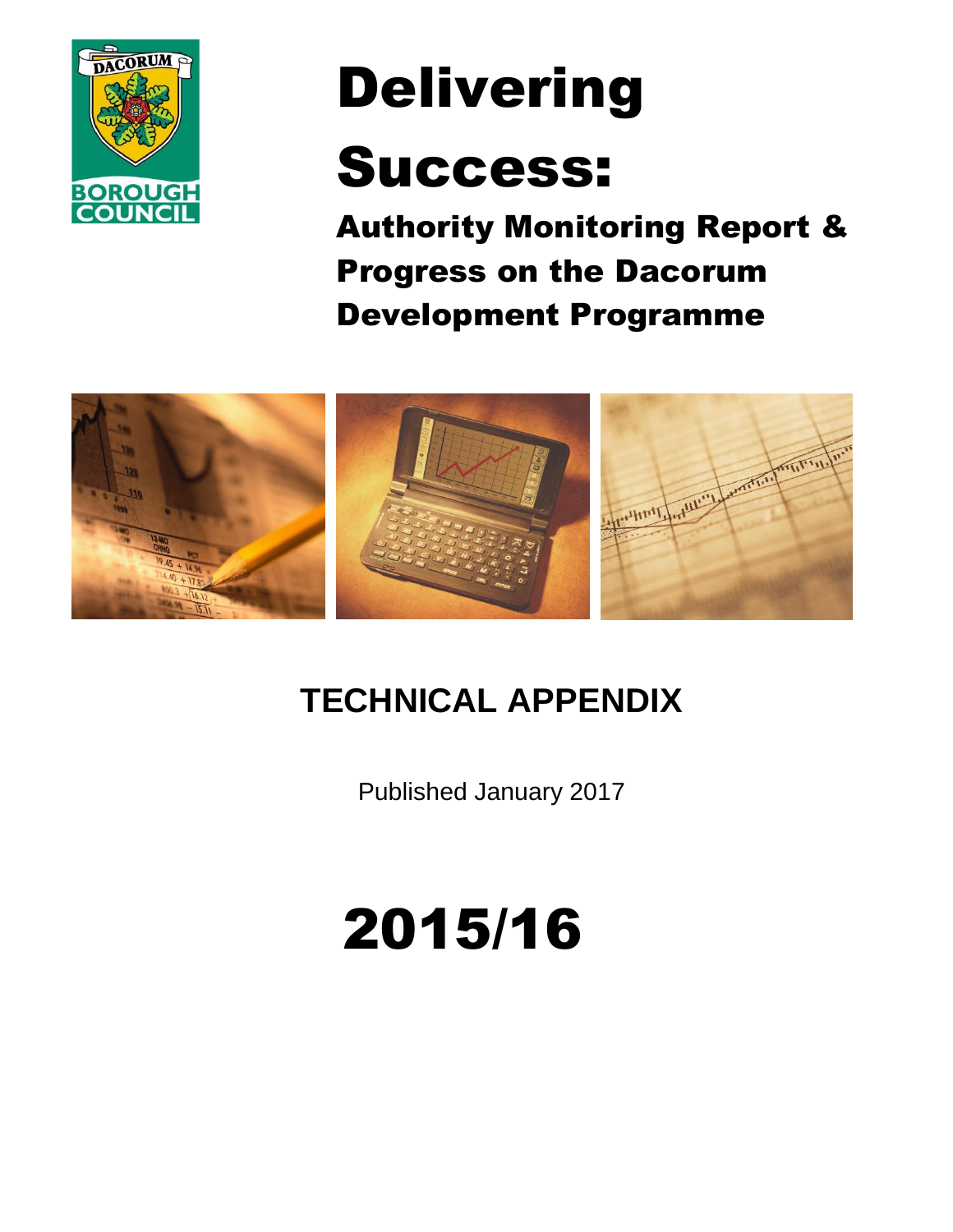

# Delivering

## Success:

Authority Monitoring Report & Progress on the Dacorum Development Programme



## **TECHNICAL APPENDIX**

Published January 2017

## 2015/16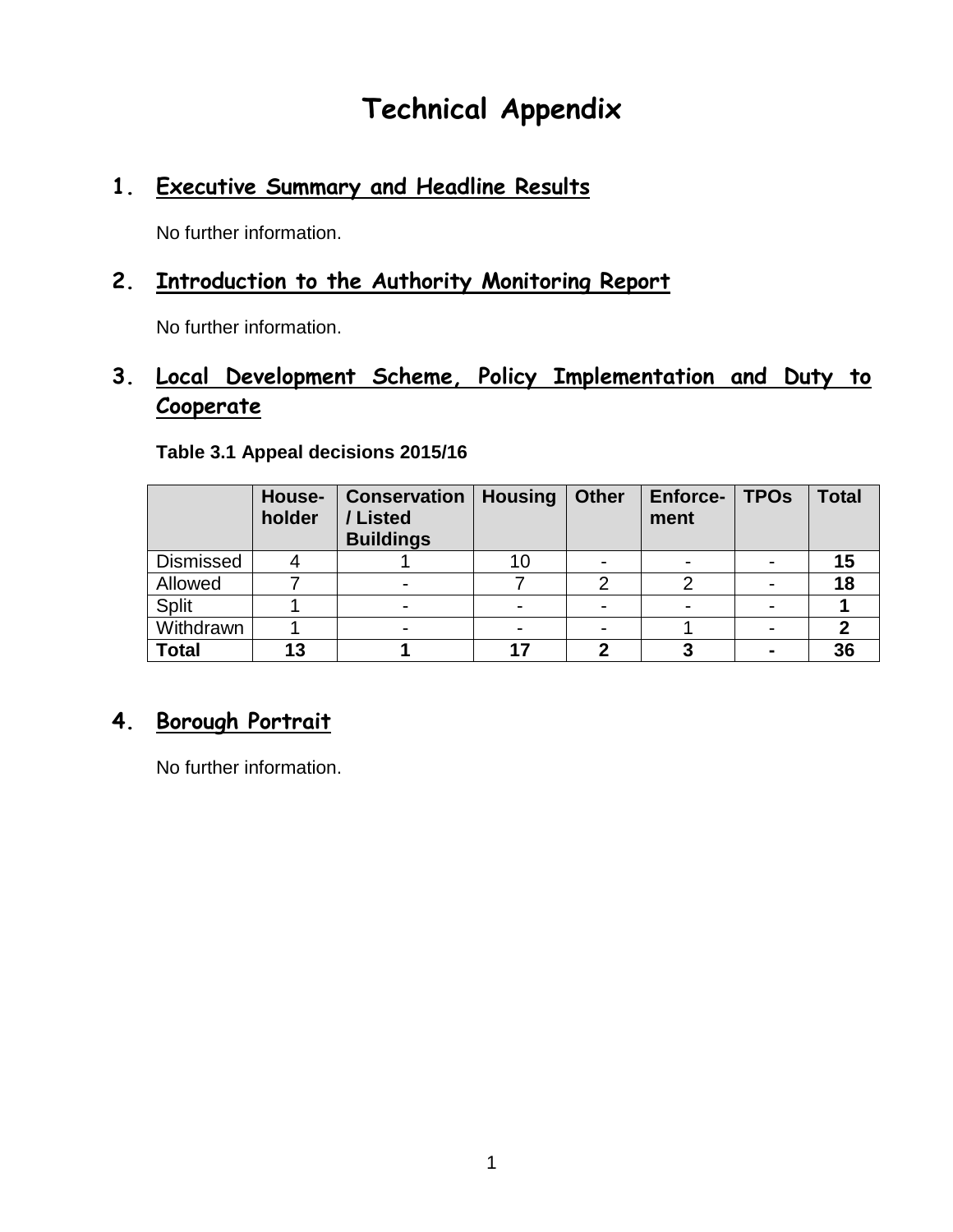## **Technical Appendix**

## **1. Executive Summary and Headline Results**

No further information.

### **2. Introduction to the Authority Monitoring Report**

No further information.

## **3. Local Development Scheme, Policy Implementation and Duty to Cooperate**

|                  | House-<br>holder | <b>Conservation</b><br>Listed<br><b>Buildings</b> | <b>Housing</b> | <b>Other</b>             | Enforce-<br>ment | <b>TPOs</b> | <b>Total</b> |
|------------------|------------------|---------------------------------------------------|----------------|--------------------------|------------------|-------------|--------------|
| <b>Dismissed</b> |                  |                                                   | 10             | $\overline{\phantom{0}}$ |                  |             |              |
| Allowed          |                  |                                                   |                | ◠                        |                  |             | 18           |
| <b>Split</b>     |                  |                                                   |                |                          |                  |             |              |
| Withdrawn        |                  |                                                   |                |                          |                  |             |              |
| <b>Total</b>     | 13               |                                                   | 17             | n                        |                  |             | 36           |

#### **Table 3.1 Appeal decisions 2015/16**

### **4. Borough Portrait**

No further information.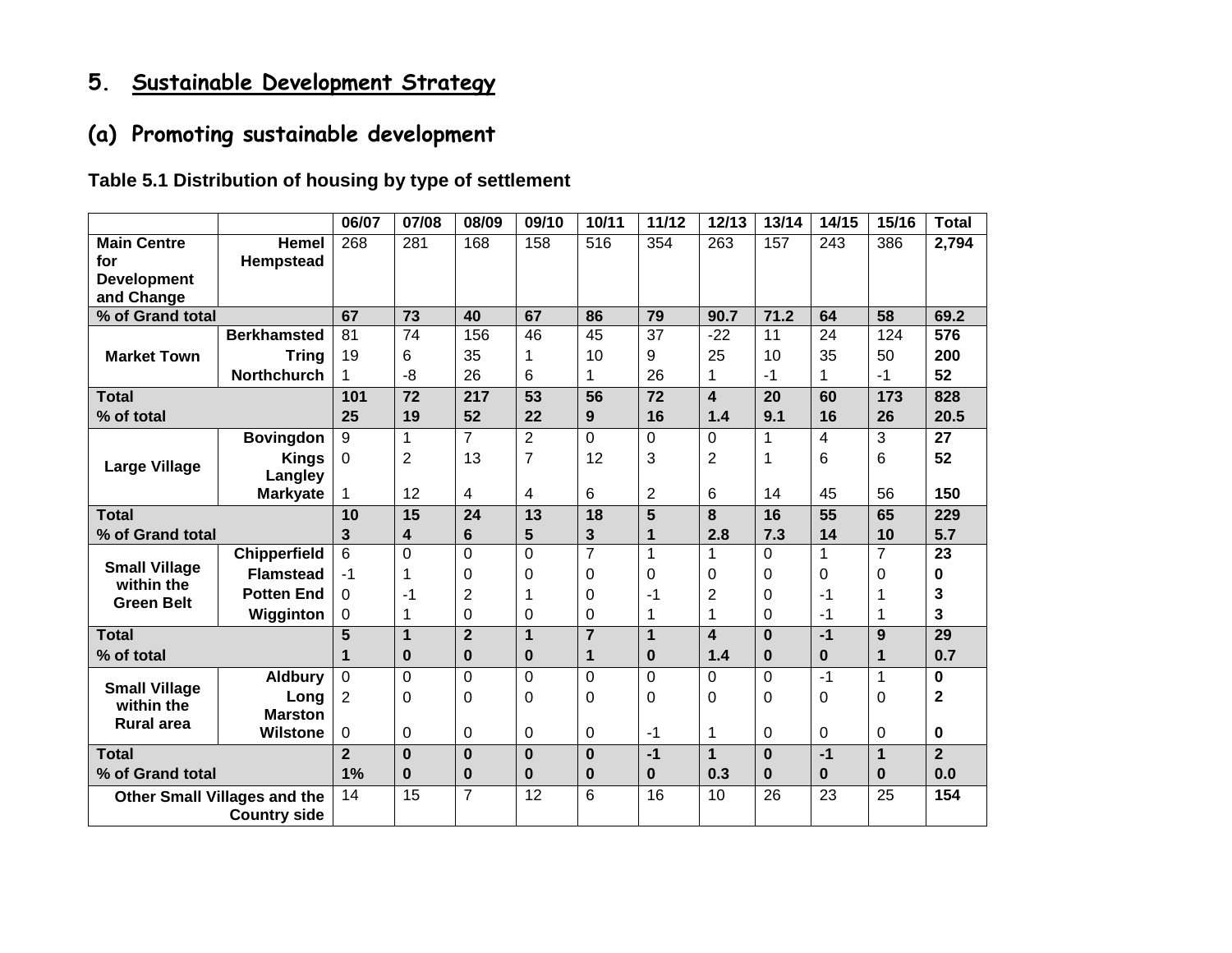## **5. Sustainable Development Strategy**

## **(a) Promoting sustainable development**

#### **Table 5.1 Distribution of housing by type of settlement**

|                                    |                                     | 06/07          | 07/08           | 08/09          | 09/10           | 10/11          | 11/12           | 12/13                   | 13/14        | 14/15          | 15/16          | <b>Total</b>     |
|------------------------------------|-------------------------------------|----------------|-----------------|----------------|-----------------|----------------|-----------------|-------------------------|--------------|----------------|----------------|------------------|
| <b>Main Centre</b>                 | <b>Hemel</b>                        | 268            | 281             | 168            | 158             | 516            | 354             | 263                     | 157          | 243            | 386            | 2,794            |
| for                                | Hempstead                           |                |                 |                |                 |                |                 |                         |              |                |                |                  |
| <b>Development</b>                 |                                     |                |                 |                |                 |                |                 |                         |              |                |                |                  |
| and Change                         |                                     |                |                 |                |                 |                |                 |                         |              |                |                |                  |
| % of Grand total                   |                                     | 67             | $\overline{73}$ | 40             | 67              | 86             | 79              | 90.7                    | 71.2         | 64             | 58             | 69.2             |
|                                    | <b>Berkhamsted</b>                  | 81             | 74              | 156            | 46              | 45             | 37              | $-22$                   | 11           | 24             | 124            | $\overline{576}$ |
| <b>Market Town</b>                 | <b>Tring</b>                        | 19             | 6               | 35             | 1               | 10             | 9               | 25                      | 10           | 35             | 50             | 200              |
|                                    | <b>Northchurch</b>                  | 1              | -8              | 26             | 6               | 1              | 26              | 1                       | $-1$         | 1              | $-1$           | 52               |
| <b>Total</b>                       |                                     | 101            | $\overline{72}$ | 217            | $\overline{53}$ | 56             | $\overline{72}$ | $\overline{\mathbf{4}}$ | 20           | 60             | 173            | 828              |
| % of total                         |                                     | 25             | 19              | 52             | 22              | 9              | 16              | 1.4                     | 9.1          | 16             | 26             | 20.5             |
|                                    | <b>Bovingdon</b>                    | 9              | 1               | $\overline{7}$ | $\overline{2}$  | 0              | $\mathbf 0$     | $\Omega$                | $\mathbf{1}$ | $\overline{4}$ | 3              | $\overline{27}$  |
|                                    | <b>Kings</b>                        | $\Omega$       | 2               | 13             | $\overline{7}$  | 12             | 3               | $\overline{c}$          | 1            | 6              | 6              | 52               |
| <b>Large Village</b>               | Langley                             |                |                 |                |                 |                |                 |                         |              |                |                |                  |
|                                    | <b>Markyate</b>                     | 1              | 12              | 4              | 4               | 6              | $\overline{2}$  | 6                       | 14           | 45             | 56             | 150              |
| <b>Total</b>                       |                                     | 10             | 15              | 24             | 13              | 18             | 5               | 8                       | 16           | 55             | 65             | 229              |
| % of Grand total                   |                                     | 3              | 4               | 6              | 5               | 3              | 1               | 2.8                     | 7.3          | 14             | 10             | 5.7              |
|                                    | <b>Chipperfield</b>                 | 6              | $\overline{0}$  | 0              | $\overline{0}$  | $\overline{7}$ | 1               |                         | 0            | 1              | $\overline{7}$ | $\overline{23}$  |
| <b>Small Village</b><br>within the | <b>Flamstead</b>                    | $-1$           | 1               | $\Omega$       | 0               | $\Omega$       | 0               | 0                       | 0            | 0              | 0              | 0                |
| <b>Green Belt</b>                  | <b>Potten End</b>                   | 0              | -1              | $\overline{2}$ | 1               | $\Omega$       | $-1$            | 2                       | $\mathbf 0$  | $-1$           | 1              | 3                |
|                                    | Wigginton                           | 0              | 1               | 0              | 0               | 0              | 1               | 1                       | 0            | $-1$           | 1              | 3                |
| <b>Total</b>                       |                                     | 5              | 1               | $\overline{2}$ | 1               | $\overline{7}$ | 1               | $\boldsymbol{4}$        | $\Omega$     | $-1$           | 9              | 29               |
| % of total                         |                                     | 1              | 0               | $\bf{0}$       | 0               | 1              | $\bf{0}$        | 1.4                     | $\bf{0}$     | $\bf{0}$       | 1              | 0.7              |
|                                    | <b>Aldbury</b>                      | $\mathbf 0$    | $\mathbf 0$     | 0              | $\overline{0}$  | $\overline{0}$ | 0               | 0                       | $\mathbf 0$  | $-1$           | 1              | 0                |
| <b>Small Village</b>               | Long                                | $\overline{2}$ | 0               | 0              | $\Omega$        | $\Omega$       | $\Omega$        | 0                       | $\mathbf 0$  | 0              | $\Omega$       | $\mathbf{2}$     |
| within the                         | <b>Marston</b>                      |                |                 |                |                 |                |                 |                         |              |                |                |                  |
| <b>Rural area</b>                  | <b>Wilstone</b>                     | 0              | 0               | 0              | 0               | $\Omega$       | $-1$            | 1                       | 0            | 0              | 0              | 0                |
| <b>Total</b>                       |                                     | $\overline{2}$ | $\bf{0}$        | $\bf{0}$       | $\bf{0}$        | $\bf{0}$       | $-1$            | 1                       | $\bf{0}$     | $-1$           | $\mathbf 1$    | $\overline{2}$   |
| % of Grand total                   |                                     | 1%             | 0               | 0              | 0               | $\bf{0}$       | $\bf{0}$        | 0.3                     | $\bf{0}$     | $\bf{0}$       | $\bf{0}$       | 0.0              |
|                                    | <b>Other Small Villages and the</b> | 14             | $\overline{15}$ | $\overline{7}$ | $\overline{12}$ | 6              | 16              | 10                      | 26           | 23             | 25             | 154              |
|                                    | <b>Country side</b>                 |                |                 |                |                 |                |                 |                         |              |                |                |                  |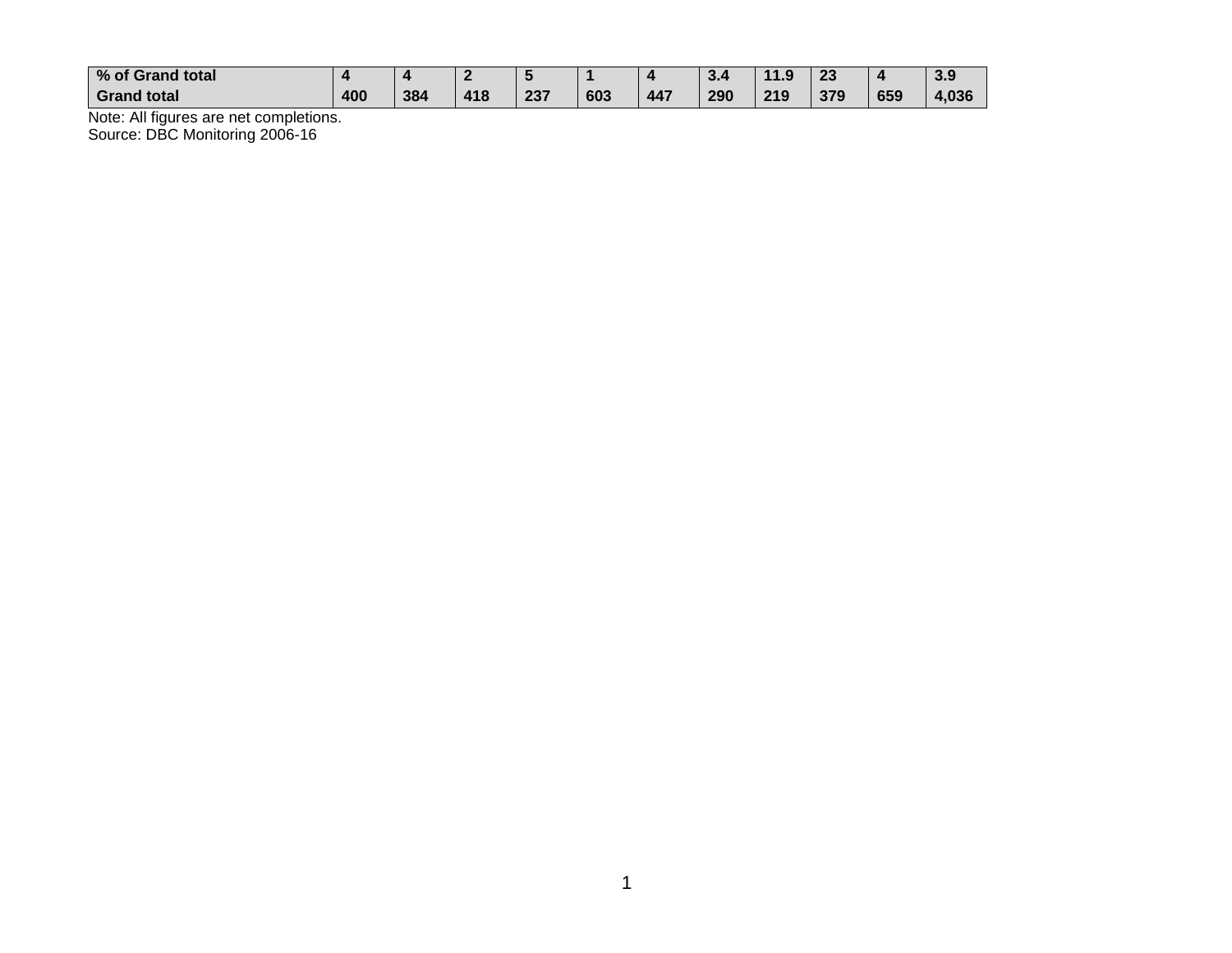| % of Grand total   |     |     |     |     |     |     | $\sim$ | 11 O<br>- - | າາ<br>دے |     | 2 O<br>.ა.ა |
|--------------------|-----|-----|-----|-----|-----|-----|--------|-------------|----------|-----|-------------|
| <b>Grand total</b> | 400 | 384 | 418 | 237 | 603 | 447 | 290    | 219         | 379      | 659 | 4,036       |

Note: All figures are net completions. Source: DBC Monitoring 2006-16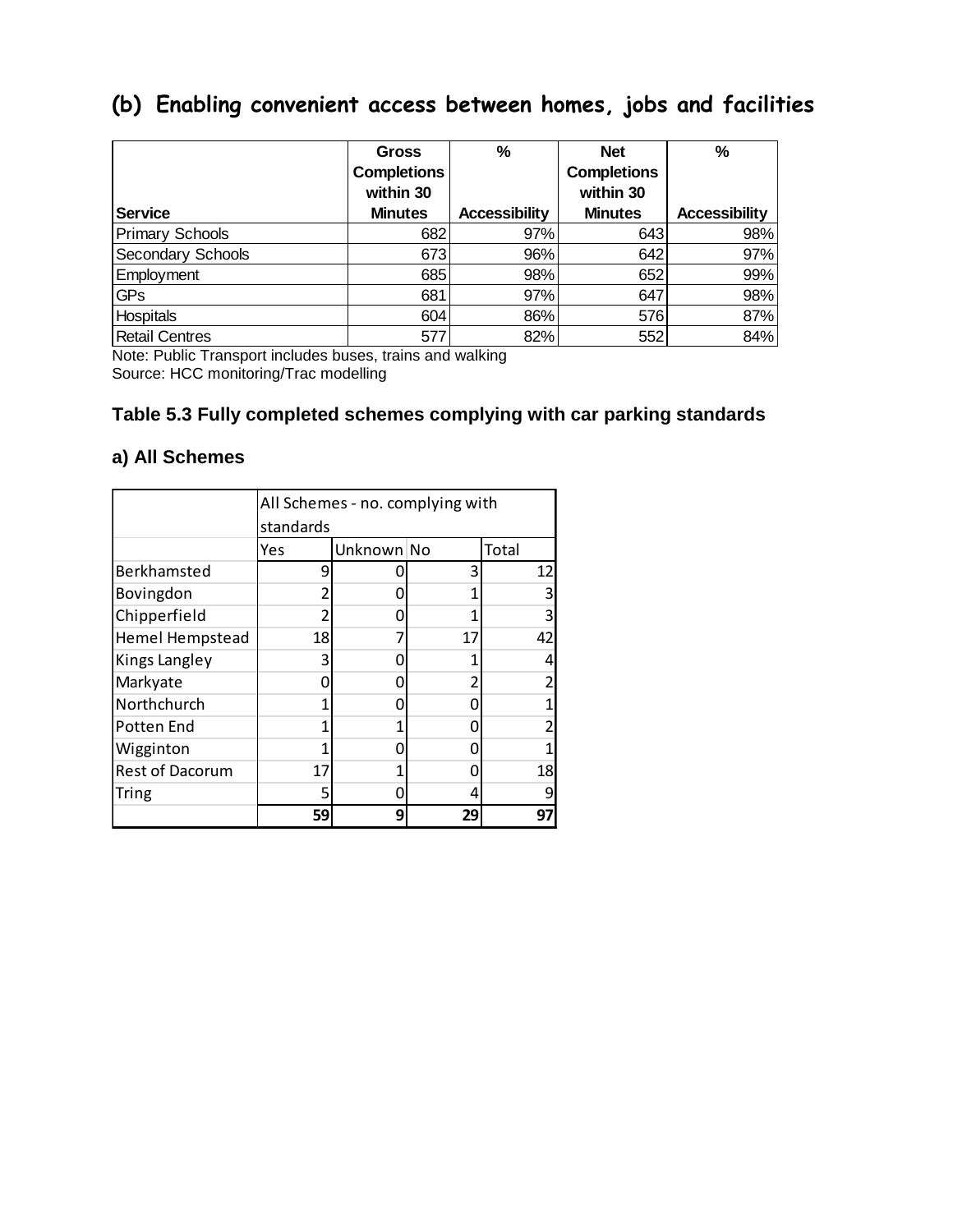## **(b) Enabling convenient access between homes, jobs and facilities**

|                        | <b>Gross</b>   | %                    | <b>Net</b>         | %                    |
|------------------------|----------------|----------------------|--------------------|----------------------|
|                        | Completions    |                      | <b>Completions</b> |                      |
|                        | within 30      |                      | within 30          |                      |
| <b>Service</b>         | <b>Minutes</b> | <b>Accessibility</b> | <b>Minutes</b>     | <b>Accessibility</b> |
| <b>Primary Schools</b> | 682            | 97%                  | 643                | 98%                  |
| Secondary Schools      | 673            | 96%                  | 642                | 97%                  |
| Employment             | 685            | 98%                  | 652                | 99%                  |
| <b>GPs</b>             | 681            | 97%                  | 647                | 98%                  |
| <b>Hospitals</b>       | 604            | 86%                  | 576                | 87%                  |
|                        |                |                      |                    |                      |

Note: Public Transport includes buses, trains and walking Source: HCC monitoring/Trac modelling

#### **Table 5.3 Fully completed schemes complying with car parking standards**

#### **a) All Schemes**

|                        |           | All Schemes - no. complying with |    |       |  |  |  |  |  |
|------------------------|-----------|----------------------------------|----|-------|--|--|--|--|--|
|                        | standards |                                  |    |       |  |  |  |  |  |
|                        | Yes       | Unknown No                       |    | Total |  |  |  |  |  |
| Berkhamsted            | q         |                                  | 3  | 12    |  |  |  |  |  |
| Bovingdon              |           |                                  | 1  |       |  |  |  |  |  |
| Chipperfield           |           |                                  |    |       |  |  |  |  |  |
| Hemel Hempstead        | 18        |                                  | 17 | 42    |  |  |  |  |  |
| Kings Langley          | 3         |                                  |    |       |  |  |  |  |  |
| Markyate               |           |                                  |    |       |  |  |  |  |  |
| Northchurch            |           |                                  |    |       |  |  |  |  |  |
| Potten End             |           | 1                                |    |       |  |  |  |  |  |
| Wigginton              |           | Π                                |    |       |  |  |  |  |  |
| <b>Rest of Dacorum</b> | 17        |                                  |    | 18    |  |  |  |  |  |
| <b>Tring</b>           | 5         | 0                                | 4  |       |  |  |  |  |  |
|                        | 59        | 9                                | 29 | 97    |  |  |  |  |  |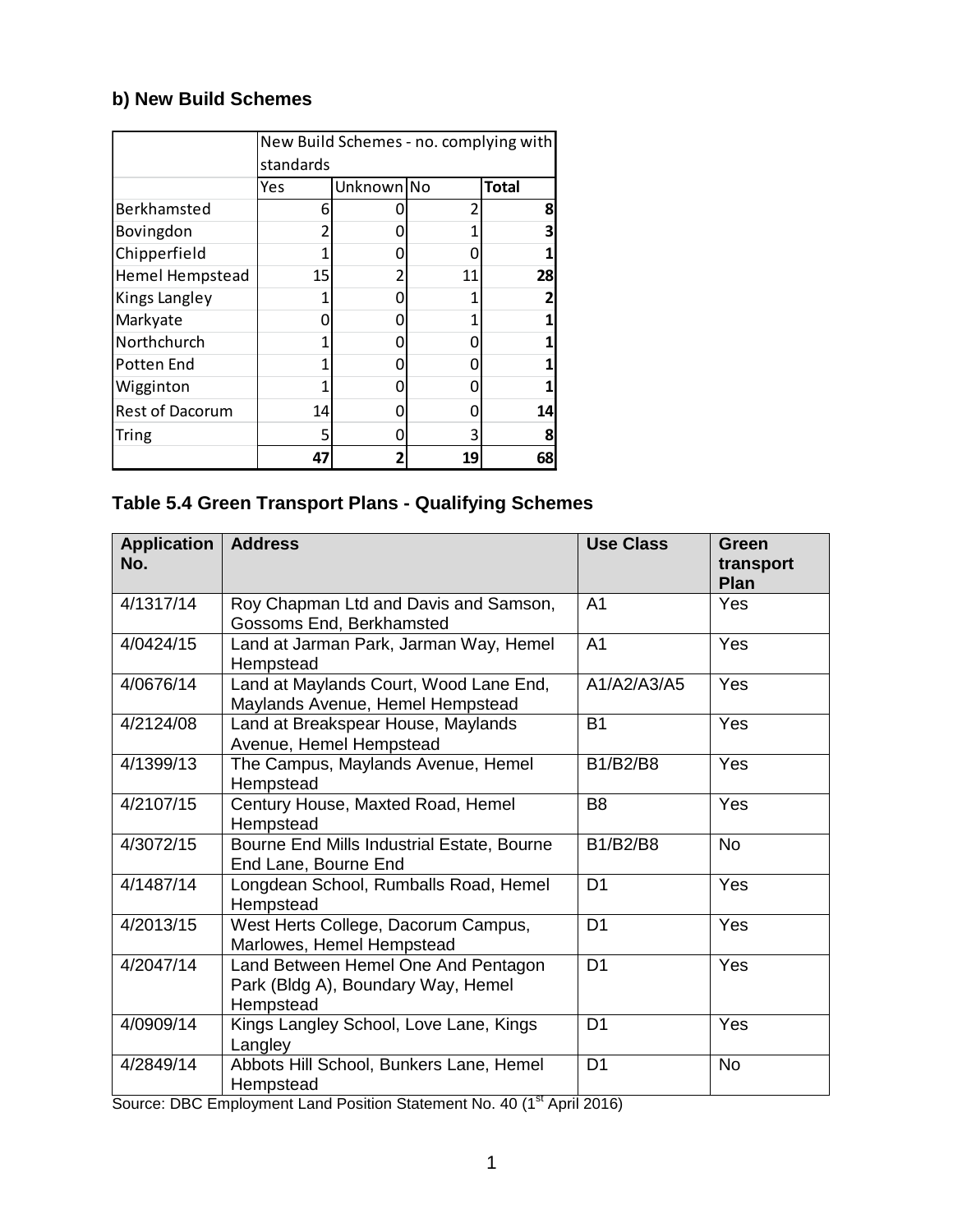#### **b) New Build Schemes**

|                        |           | New Build Schemes - no. complying with |    |              |  |  |  |  |  |
|------------------------|-----------|----------------------------------------|----|--------------|--|--|--|--|--|
|                        | standards |                                        |    |              |  |  |  |  |  |
|                        | Yes       | Unknown No                             |    | <b>Total</b> |  |  |  |  |  |
| Berkhamsted            | 6         |                                        |    | 8            |  |  |  |  |  |
| Bovingdon              |           |                                        |    | 3            |  |  |  |  |  |
| Chipperfield           |           | 0                                      |    |              |  |  |  |  |  |
| <b>Hemel Hempstead</b> | 15        | 2                                      | 11 | 28           |  |  |  |  |  |
| Kings Langley          |           |                                        |    |              |  |  |  |  |  |
| Markyate               |           |                                        |    |              |  |  |  |  |  |
| Northchurch            |           | 0                                      |    |              |  |  |  |  |  |
| Potten End             |           | Π                                      |    |              |  |  |  |  |  |
| Wigginton              |           | 0                                      |    |              |  |  |  |  |  |
| <b>Rest of Dacorum</b> | 14        |                                        |    | 14           |  |  |  |  |  |
| <b>Tring</b>           | 5         |                                        | ੨  |              |  |  |  |  |  |
|                        | 47        | 2                                      | 19 | 68           |  |  |  |  |  |

#### **Table 5.4 Green Transport Plans - Qualifying Schemes**

| <b>Application</b><br>No. | <b>Address</b>                                                                         | <b>Use Class</b> | Green<br>transport<br><b>Plan</b> |
|---------------------------|----------------------------------------------------------------------------------------|------------------|-----------------------------------|
| 4/1317/14                 | Roy Chapman Ltd and Davis and Samson,<br>Gossoms End, Berkhamsted                      | A <sub>1</sub>   | <b>Yes</b>                        |
| 4/0424/15                 | Land at Jarman Park, Jarman Way, Hemel<br>Hempstead                                    | A <sub>1</sub>   | Yes                               |
| 4/0676/14                 | Land at Maylands Court, Wood Lane End,<br>Maylands Avenue, Hemel Hempstead             | A1/A2/A3/A5      | Yes                               |
| 4/2124/08                 | Land at Breakspear House, Maylands<br>Avenue, Hemel Hempstead                          | <b>B1</b>        | Yes                               |
| 4/1399/13                 | The Campus, Maylands Avenue, Hemel<br>Hempstead                                        | <b>B1/B2/B8</b>  | Yes                               |
| 4/2107/15                 | Century House, Maxted Road, Hemel<br>Hempstead                                         | B <sub>8</sub>   | Yes                               |
| 4/3072/15                 | Bourne End Mills Industrial Estate, Bourne<br>End Lane, Bourne End                     | B1/B2/B8         | <b>No</b>                         |
| 4/1487/14                 | Longdean School, Rumballs Road, Hemel<br>Hempstead                                     | D <sub>1</sub>   | Yes                               |
| 4/2013/15                 | West Herts College, Dacorum Campus,<br>Marlowes, Hemel Hempstead                       | D <sub>1</sub>   | Yes                               |
| 4/2047/14                 | Land Between Hemel One And Pentagon<br>Park (Bldg A), Boundary Way, Hemel<br>Hempstead | D <sub>1</sub>   | Yes                               |
| 4/0909/14                 | Kings Langley School, Love Lane, Kings<br>Langley                                      | D <sub>1</sub>   | Yes                               |
| 4/2849/14                 | Abbots Hill School, Bunkers Lane, Hemel<br>Hempstead                                   | D <sub>1</sub>   | <b>No</b>                         |

Source: DBC Employment Land Position Statement No. 40 (1<sup>st</sup> April 2016)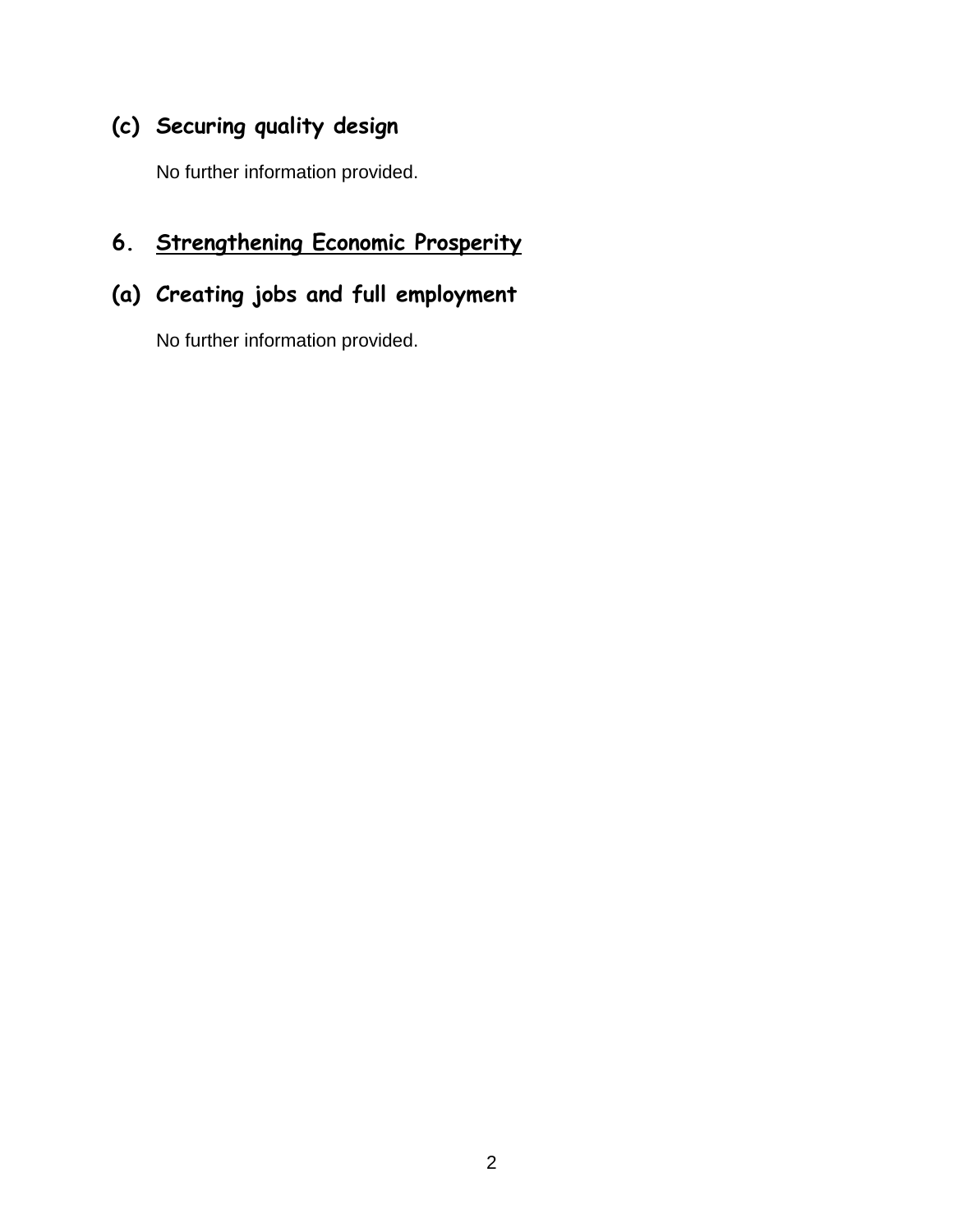## **(c) Securing quality design**

No further information provided.

## **6. Strengthening Economic Prosperity**

## **(a) Creating jobs and full employment**

No further information provided.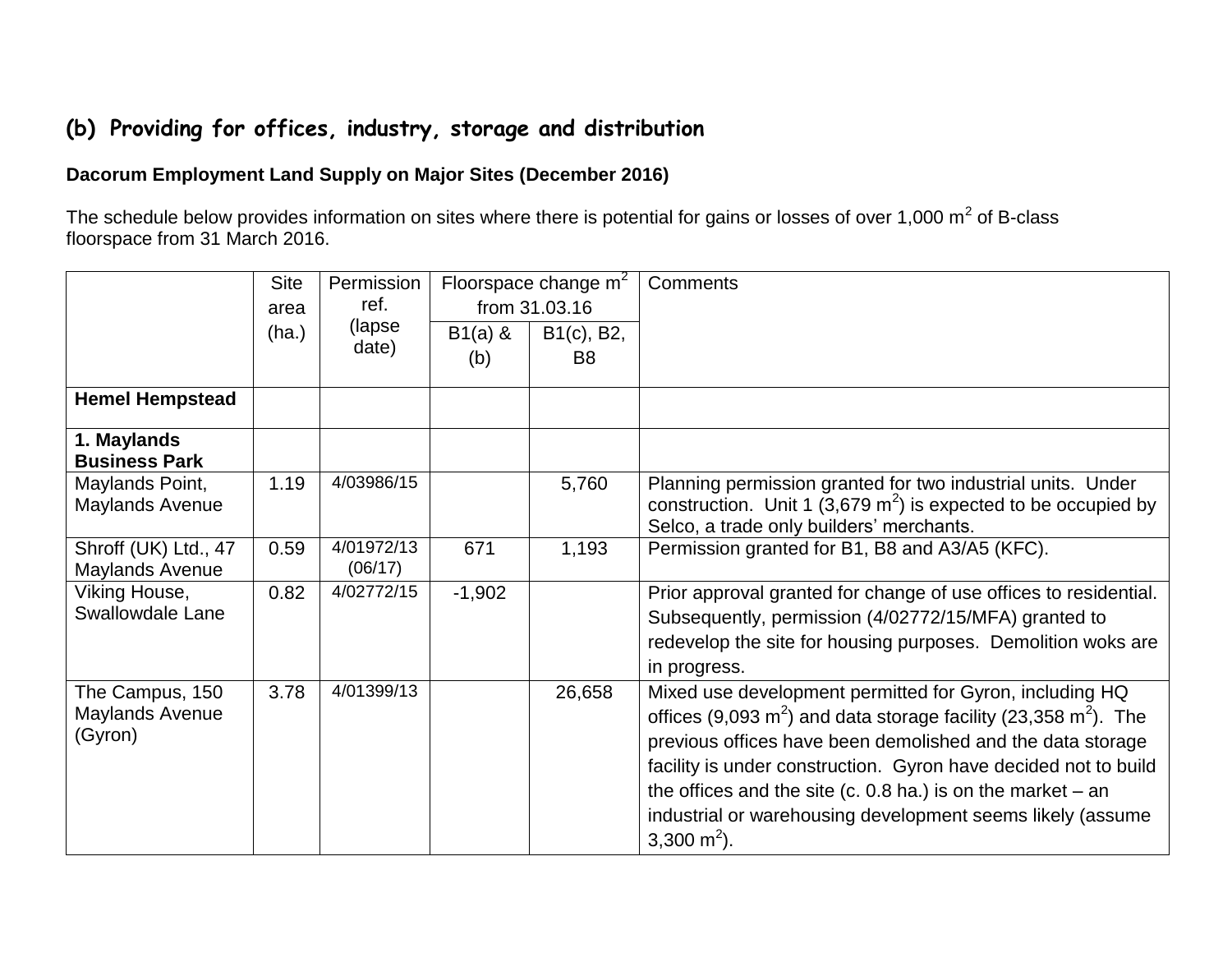## **(b) Providing for offices, industry, storage and distribution**

#### **Dacorum Employment Land Supply on Major Sites (December 2016)**

The schedule below provides information on sites where there is potential for gains or losses of over 1,000 m<sup>2</sup> of B-class floorspace from 31 March 2016.

|                                     | <b>Site</b> | Permission |           | Floorspace change m <sup>2</sup>     | Comments                                                              |
|-------------------------------------|-------------|------------|-----------|--------------------------------------|-----------------------------------------------------------------------|
|                                     | area        | ref.       |           | from 31.03.16                        |                                                                       |
|                                     | (ha.)       | (lapse     | $B1(a)$ & | B <sub>1</sub> (c), B <sub>2</sub> , |                                                                       |
|                                     |             | date)      | (b)       | B <sub>8</sub>                       |                                                                       |
|                                     |             |            |           |                                      |                                                                       |
| <b>Hemel Hempstead</b>              |             |            |           |                                      |                                                                       |
| 1. Maylands<br><b>Business Park</b> |             |            |           |                                      |                                                                       |
| Maylands Point,                     | 1.19        | 4/03986/15 |           | 5,760                                | Planning permission granted for two industrial units. Under           |
| Maylands Avenue                     |             |            |           |                                      | construction. Unit 1 (3,679 $m2$ ) is expected to be occupied by      |
|                                     |             |            |           |                                      | Selco, a trade only builders' merchants.                              |
| Shroff (UK) Ltd., 47                | 0.59        | 4/01972/13 | 671       | 1,193                                | Permission granted for B1, B8 and A3/A5 (KFC).                        |
| <b>Maylands Avenue</b>              |             | (06/17)    |           |                                      |                                                                       |
| Viking House,                       | 0.82        | 4/02772/15 | $-1,902$  |                                      | Prior approval granted for change of use offices to residential.      |
| <b>Swallowdale Lane</b>             |             |            |           |                                      | Subsequently, permission (4/02772/15/MFA) granted to                  |
|                                     |             |            |           |                                      | redevelop the site for housing purposes. Demolition woks are          |
|                                     |             |            |           |                                      | in progress.                                                          |
| The Campus, 150                     | 3.78        | 4/01399/13 |           | 26,658                               | Mixed use development permitted for Gyron, including HQ               |
| <b>Maylands Avenue</b>              |             |            |           |                                      | offices (9,093 $m^2$ ) and data storage facility (23,358 $m^2$ ). The |
| (Gyron)                             |             |            |           |                                      | previous offices have been demolished and the data storage            |
|                                     |             |            |           |                                      | facility is under construction. Gyron have decided not to build       |
|                                     |             |            |           |                                      | the offices and the site (c. 0.8 ha.) is on the market $-$ an         |
|                                     |             |            |           |                                      |                                                                       |
|                                     |             |            |           |                                      | industrial or warehousing development seems likely (assume            |
|                                     |             |            |           |                                      | 3,300 m <sup>2</sup> ).                                               |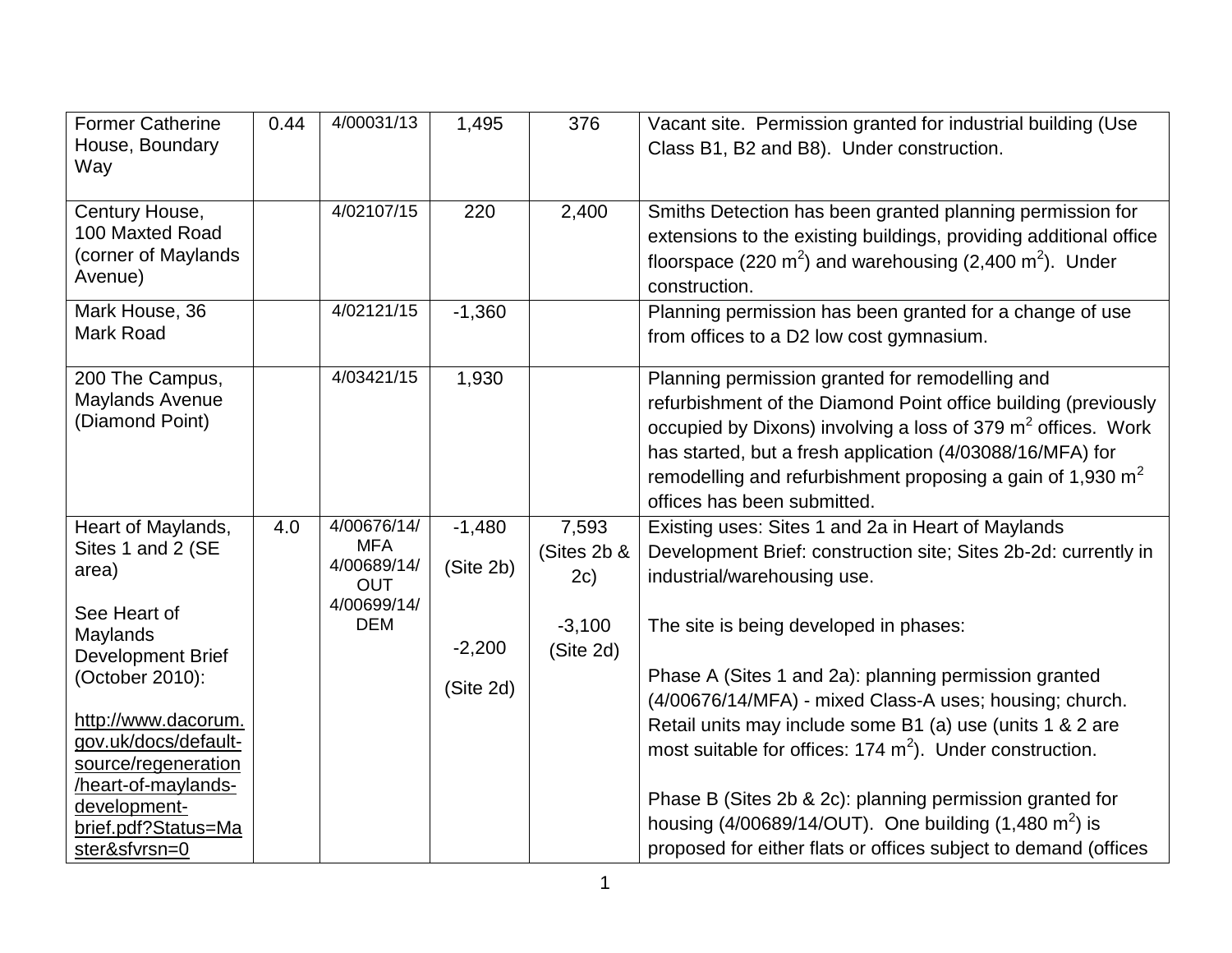| <b>Former Catherine</b><br>House, Boundary<br>Way                          | 0.44 | 4/00031/13                                             | 1,495                 | 376                         | Vacant site. Permission granted for industrial building (Use<br>Class B1, B2 and B8). Under construction.                                                                                                                                                                                                                                       |
|----------------------------------------------------------------------------|------|--------------------------------------------------------|-----------------------|-----------------------------|-------------------------------------------------------------------------------------------------------------------------------------------------------------------------------------------------------------------------------------------------------------------------------------------------------------------------------------------------|
| Century House,<br>100 Maxted Road<br>(corner of Maylands<br>Avenue)        |      | 4/02107/15                                             | 220                   | 2,400                       | Smiths Detection has been granted planning permission for<br>extensions to the existing buildings, providing additional office<br>floorspace (220 $m^2$ ) and warehousing (2,400 $m^2$ ). Under<br>construction.                                                                                                                                |
| Mark House, 36<br>Mark Road                                                |      | 4/02121/15                                             | $-1,360$              |                             | Planning permission has been granted for a change of use<br>from offices to a D2 low cost gymnasium.                                                                                                                                                                                                                                            |
| 200 The Campus,<br><b>Maylands Avenue</b><br>(Diamond Point)               |      | 4/03421/15                                             | 1,930                 |                             | Planning permission granted for remodelling and<br>refurbishment of the Diamond Point office building (previously<br>occupied by Dixons) involving a loss of 379 $m2$ offices. Work<br>has started, but a fresh application (4/03088/16/MFA) for<br>remodelling and refurbishment proposing a gain of 1,930 $m2$<br>offices has been submitted. |
| Heart of Maylands,<br>Sites 1 and 2 (SE<br>area)                           | 4.0  | 4/00676/14/<br><b>MFA</b><br>4/00689/14/<br><b>OUT</b> | $-1,480$<br>(Site 2b) | 7,593<br>(Sites 2b &<br>2c) | Existing uses: Sites 1 and 2a in Heart of Maylands<br>Development Brief: construction site; Sites 2b-2d: currently in<br>industrial/warehousing use.                                                                                                                                                                                            |
| See Heart of<br>Maylands<br><b>Development Brief</b><br>(October 2010):    |      | 4/00699/14/<br><b>DEM</b>                              | $-2,200$<br>(Site 2d) | $-3,100$<br>(Site 2d)       | The site is being developed in phases:<br>Phase A (Sites 1 and 2a): planning permission granted<br>(4/00676/14/MFA) - mixed Class-A uses; housing; church.                                                                                                                                                                                      |
| http://www.dacorum.<br>gov.uk/docs/default-<br>source/regeneration         |      |                                                        |                       |                             | Retail units may include some B1 (a) use (units 1 & 2 are<br>most suitable for offices: $174 \text{ m}^2$ ). Under construction.                                                                                                                                                                                                                |
| heart-of-maylands-<br>development-<br>brief.pdf?Status=Ma<br>ster&sfvrsn=0 |      |                                                        |                       |                             | Phase B (Sites 2b & 2c): planning permission granted for<br>housing $(4/00689/14/OUT)$ . One building $(1,480 \text{ m}^2)$ is<br>proposed for either flats or offices subject to demand (offices                                                                                                                                               |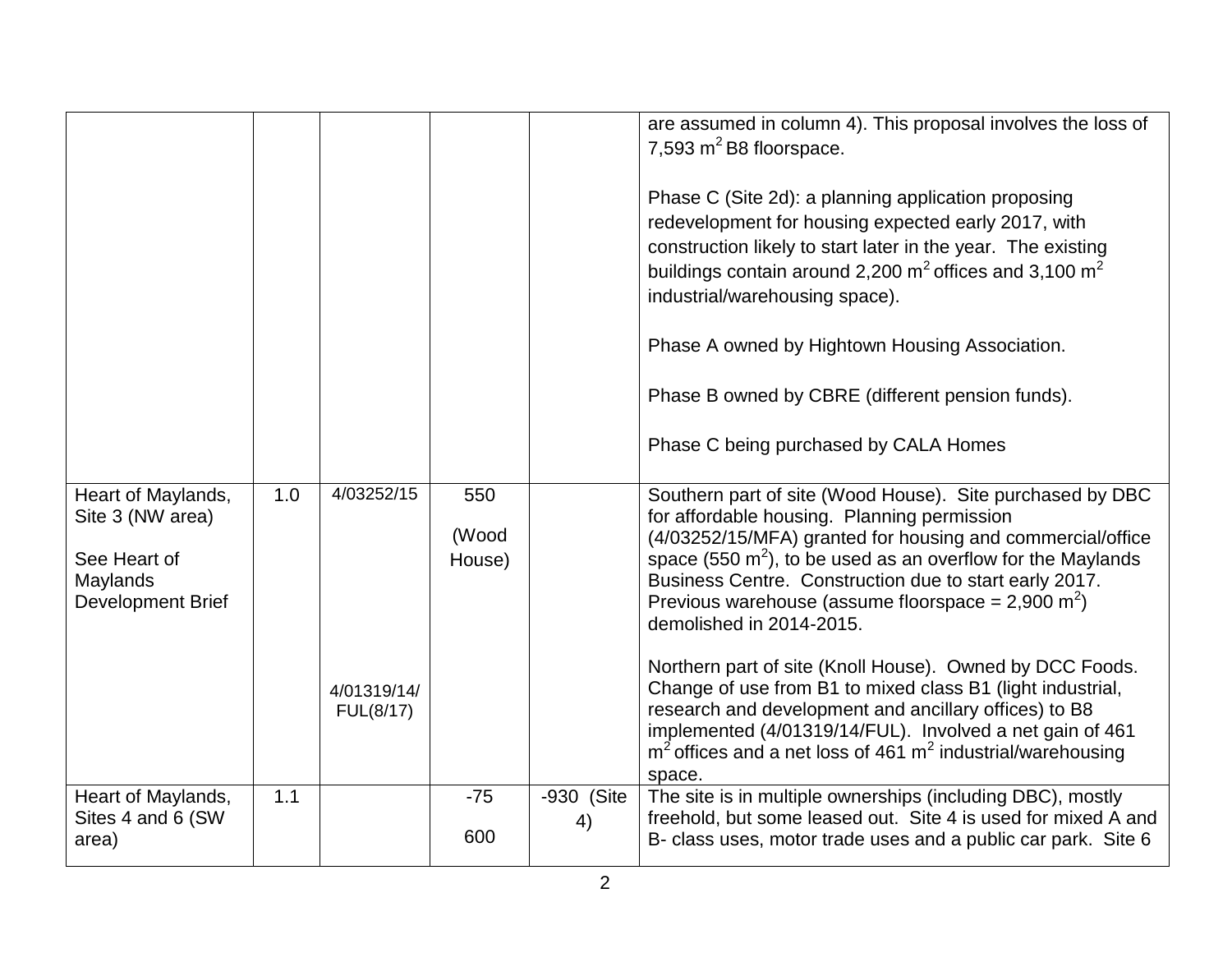|                                                                                         |     |                                        |                        |                  | are assumed in column 4). This proposal involves the loss of<br>7,593 $m^2$ B8 floorspace.<br>Phase C (Site 2d): a planning application proposing<br>redevelopment for housing expected early 2017, with<br>construction likely to start later in the year. The existing<br>buildings contain around 2,200 $m^2$ offices and 3,100 $m^2$<br>industrial/warehousing space).<br>Phase A owned by Hightown Housing Association.<br>Phase B owned by CBRE (different pension funds).<br>Phase C being purchased by CALA Homes                                                                                                                                                                                                   |
|-----------------------------------------------------------------------------------------|-----|----------------------------------------|------------------------|------------------|-----------------------------------------------------------------------------------------------------------------------------------------------------------------------------------------------------------------------------------------------------------------------------------------------------------------------------------------------------------------------------------------------------------------------------------------------------------------------------------------------------------------------------------------------------------------------------------------------------------------------------------------------------------------------------------------------------------------------------|
| Heart of Maylands,<br>Site 3 (NW area)<br>See Heart of<br>Maylands<br>Development Brief | 1.0 | 4/03252/15<br>4/01319/14/<br>FUL(8/17) | 550<br>(Wood<br>House) |                  | Southern part of site (Wood House). Site purchased by DBC<br>for affordable housing. Planning permission<br>(4/03252/15/MFA) granted for housing and commercial/office<br>space (550 $m^2$ ), to be used as an overflow for the Maylands<br>Business Centre. Construction due to start early 2017.<br>Previous warehouse (assume floorspace = 2,900 m <sup>2</sup> )<br>demolished in 2014-2015.<br>Northern part of site (Knoll House). Owned by DCC Foods.<br>Change of use from B1 to mixed class B1 (light industrial,<br>research and development and ancillary offices) to B8<br>implemented (4/01319/14/FUL). Involved a net gain of 461<br>$m2$ offices and a net loss of 461 $m2$ industrial/warehousing<br>space. |
| Heart of Maylands,<br>Sites 4 and 6 (SW<br>area)                                        | 1.1 |                                        | $-75$<br>600           | -930 (Site<br>4) | The site is in multiple ownerships (including DBC), mostly<br>freehold, but some leased out. Site 4 is used for mixed A and<br>B- class uses, motor trade uses and a public car park. Site 6                                                                                                                                                                                                                                                                                                                                                                                                                                                                                                                                |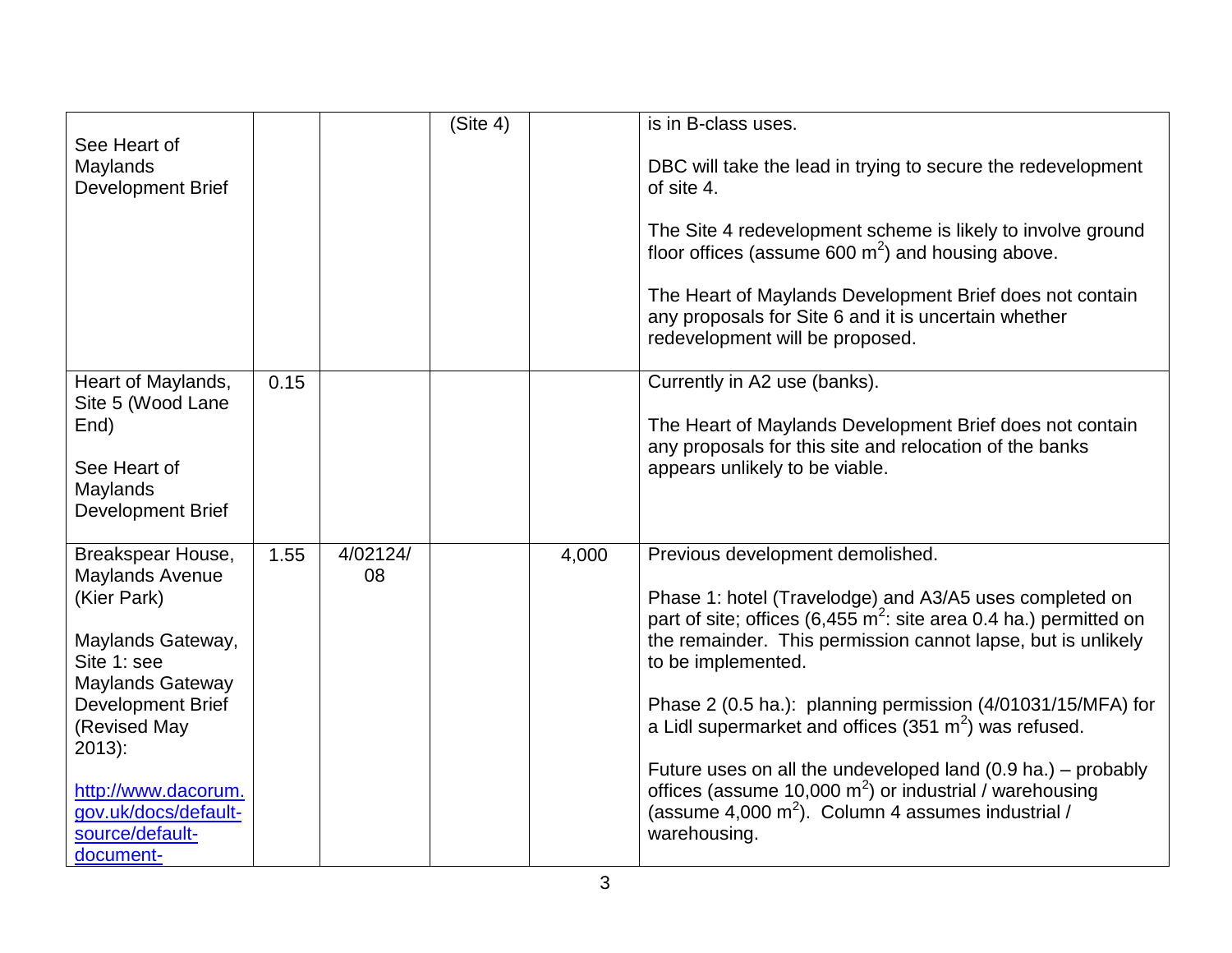|                                                                                               |      |          | (Site 4) |       | is in B-class uses.                                                                                                                                                                                                   |
|-----------------------------------------------------------------------------------------------|------|----------|----------|-------|-----------------------------------------------------------------------------------------------------------------------------------------------------------------------------------------------------------------------|
| See Heart of<br>Maylands<br>Development Brief                                                 |      |          |          |       | DBC will take the lead in trying to secure the redevelopment<br>of site 4.                                                                                                                                            |
|                                                                                               |      |          |          |       | The Site 4 redevelopment scheme is likely to involve ground<br>floor offices (assume 600 $m2$ ) and housing above.                                                                                                    |
|                                                                                               |      |          |          |       | The Heart of Maylands Development Brief does not contain<br>any proposals for Site 6 and it is uncertain whether<br>redevelopment will be proposed.                                                                   |
| Heart of Maylands,<br>Site 5 (Wood Lane<br>End)                                               | 0.15 |          |          |       | Currently in A2 use (banks).<br>The Heart of Maylands Development Brief does not contain<br>any proposals for this site and relocation of the banks                                                                   |
| See Heart of<br>Maylands<br>Development Brief                                                 |      |          |          |       | appears unlikely to be viable.                                                                                                                                                                                        |
| Breakspear House,                                                                             | 1.55 | 4/02124/ |          | 4,000 | Previous development demolished.                                                                                                                                                                                      |
| Maylands Avenue<br>(Kier Park)<br>Maylands Gateway,<br>Site 1: see<br><b>Maylands Gateway</b> |      | 08       |          |       | Phase 1: hotel (Travelodge) and A3/A5 uses completed on<br>part of site; offices (6,455 $m^2$ : site area 0.4 ha.) permitted on<br>the remainder. This permission cannot lapse, but is unlikely<br>to be implemented. |
| <b>Development Brief</b><br>(Revised May<br>$2013$ :                                          |      |          |          |       | Phase 2 (0.5 ha.): planning permission (4/01031/15/MFA) for<br>a Lidl supermarket and offices $(351 \text{ m}^2)$ was refused.                                                                                        |
| http://www.dacorum.<br>gov.uk/docs/default-<br>source/default-<br>document-                   |      |          |          |       | Future uses on all the undeveloped land $(0.9 \text{ ha.})$ – probably<br>offices (assume 10,000 $m^2$ ) or industrial / warehousing<br>(assume 4,000 $m^2$ ). Column 4 assumes industrial /<br>warehousing.          |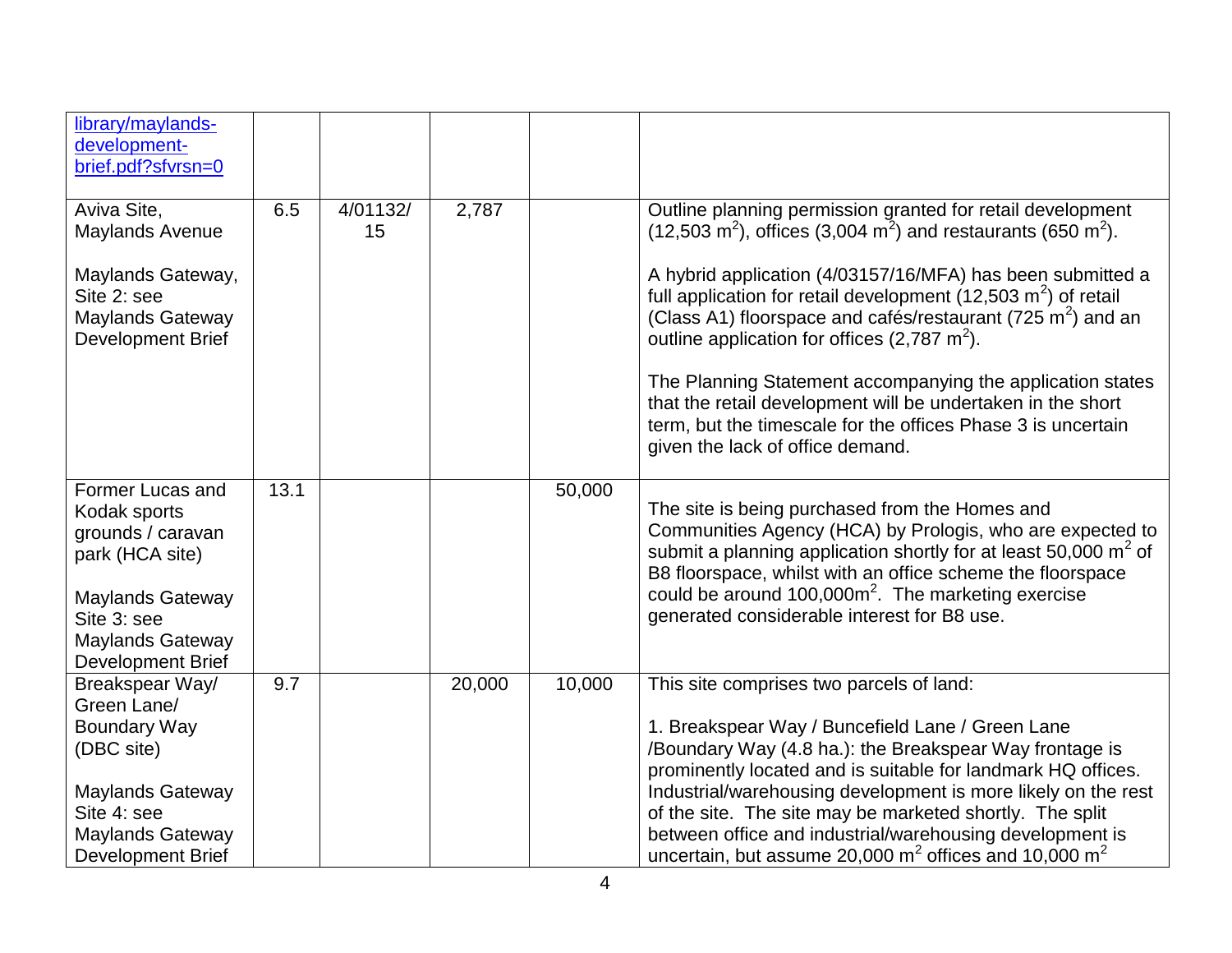| library/maylands-<br>development-<br>brief.pdf?sfvrsn=0                                                            |      |                |        |        |                                                                                                                                                                                                                                                                                                                                                         |
|--------------------------------------------------------------------------------------------------------------------|------|----------------|--------|--------|---------------------------------------------------------------------------------------------------------------------------------------------------------------------------------------------------------------------------------------------------------------------------------------------------------------------------------------------------------|
| Aviva Site,<br><b>Maylands Avenue</b>                                                                              | 6.5  | 4/01132/<br>15 | 2,787  |        | Outline planning permission granted for retail development<br>$(12,503 \text{ m}^2)$ , offices $(3,004 \text{ m}^2)$ and restaurants $(650 \text{ m}^2)$ .                                                                                                                                                                                              |
| Maylands Gateway,<br>Site 2: see<br><b>Maylands Gateway</b><br>Development Brief                                   |      |                |        |        | A hybrid application (4/03157/16/MFA) has been submitted a<br>full application for retail development (12,503 $m2$ ) of retail<br>(Class A1) floorspace and cafés/restaurant (725 $m2$ ) and an<br>outline application for offices $(2,787 \text{ m}^2)$ .                                                                                              |
|                                                                                                                    |      |                |        |        | The Planning Statement accompanying the application states<br>that the retail development will be undertaken in the short<br>term, but the timescale for the offices Phase 3 is uncertain<br>given the lack of office demand.                                                                                                                           |
| Former Lucas and<br>Kodak sports<br>grounds / caravan<br>park (HCA site)<br><b>Maylands Gateway</b><br>Site 3: see | 13.1 |                |        | 50,000 | The site is being purchased from the Homes and<br>Communities Agency (HCA) by Prologis, who are expected to<br>submit a planning application shortly for at least 50,000 $m^2$ of<br>B8 floorspace, whilst with an office scheme the floorspace<br>could be around $100,000m^2$ . The marketing exercise<br>generated considerable interest for B8 use. |
| <b>Maylands Gateway</b><br><b>Development Brief</b>                                                                |      |                |        |        |                                                                                                                                                                                                                                                                                                                                                         |
| Breakspear Way/<br>Green Lane/<br><b>Boundary Way</b><br>(DBC site)                                                | 9.7  |                | 20,000 | 10,000 | This site comprises two parcels of land:<br>1. Breakspear Way / Buncefield Lane / Green Lane<br>/Boundary Way (4.8 ha.): the Breakspear Way frontage is<br>prominently located and is suitable for landmark HQ offices.                                                                                                                                 |
| <b>Maylands Gateway</b><br>Site 4: see<br><b>Maylands Gateway</b><br><b>Development Brief</b>                      |      |                |        |        | Industrial/warehousing development is more likely on the rest<br>of the site. The site may be marketed shortly. The split<br>between office and industrial/warehousing development is<br>uncertain, but assume 20,000 $m^2$ offices and 10,000 $m^2$                                                                                                    |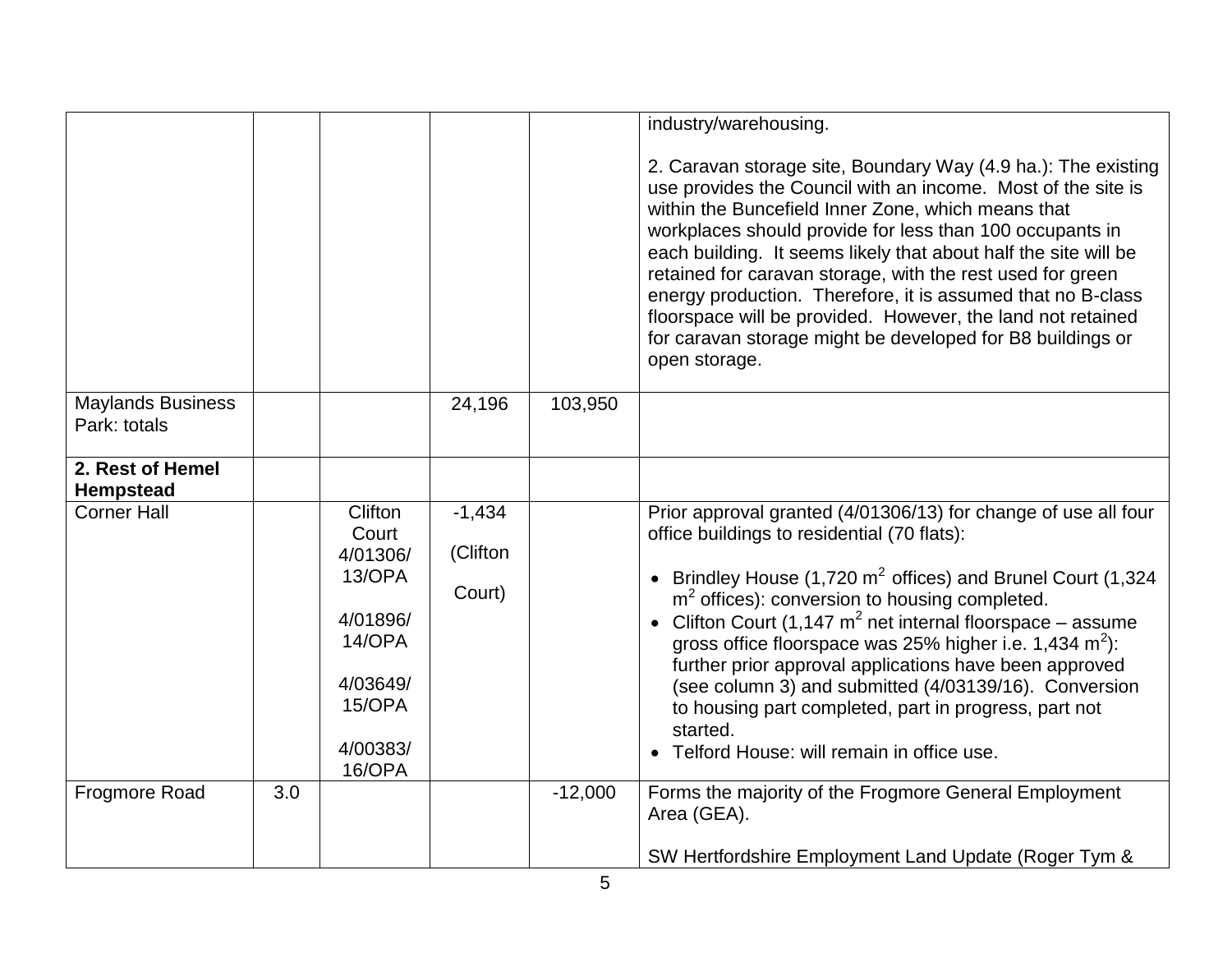|                                          |     |                                                                                                          |                                |           | industry/warehousing.                                                                                                                                                                                                                                                                                                                                                                                                                                                                                                                                                                                    |
|------------------------------------------|-----|----------------------------------------------------------------------------------------------------------|--------------------------------|-----------|----------------------------------------------------------------------------------------------------------------------------------------------------------------------------------------------------------------------------------------------------------------------------------------------------------------------------------------------------------------------------------------------------------------------------------------------------------------------------------------------------------------------------------------------------------------------------------------------------------|
|                                          |     |                                                                                                          |                                |           | 2. Caravan storage site, Boundary Way (4.9 ha.): The existing<br>use provides the Council with an income. Most of the site is<br>within the Buncefield Inner Zone, which means that<br>workplaces should provide for less than 100 occupants in<br>each building. It seems likely that about half the site will be<br>retained for caravan storage, with the rest used for green<br>energy production. Therefore, it is assumed that no B-class<br>floorspace will be provided. However, the land not retained<br>for caravan storage might be developed for B8 buildings or<br>open storage.            |
| <b>Maylands Business</b><br>Park: totals |     |                                                                                                          | 24,196                         | 103,950   |                                                                                                                                                                                                                                                                                                                                                                                                                                                                                                                                                                                                          |
| 2. Rest of Hemel<br>Hempstead            |     |                                                                                                          |                                |           |                                                                                                                                                                                                                                                                                                                                                                                                                                                                                                                                                                                                          |
| <b>Corner Hall</b>                       |     | Clifton<br>Court<br>4/01306/<br>13/OPA<br>4/01896/<br>14/OPA<br>4/03649/<br>15/OPA<br>4/00383/<br>16/OPA | $-1,434$<br>(Clifton<br>Court) |           | Prior approval granted (4/01306/13) for change of use all four<br>office buildings to residential (70 flats):<br>• Brindley House (1,720 $m^2$ offices) and Brunel Court (1,324<br>$m2$ offices): conversion to housing completed.<br>• Clifton Court (1,147 $m^2$ net internal floorspace – assume<br>gross office floorspace was 25% higher i.e. 1,434 $m^2$ ):<br>further prior approval applications have been approved<br>(see column 3) and submitted (4/03139/16). Conversion<br>to housing part completed, part in progress, part not<br>started.<br>• Telford House: will remain in office use. |
| Frogmore Road                            | 3.0 |                                                                                                          |                                | $-12,000$ | Forms the majority of the Frogmore General Employment<br>Area (GEA).<br>SW Hertfordshire Employment Land Update (Roger Tym &                                                                                                                                                                                                                                                                                                                                                                                                                                                                             |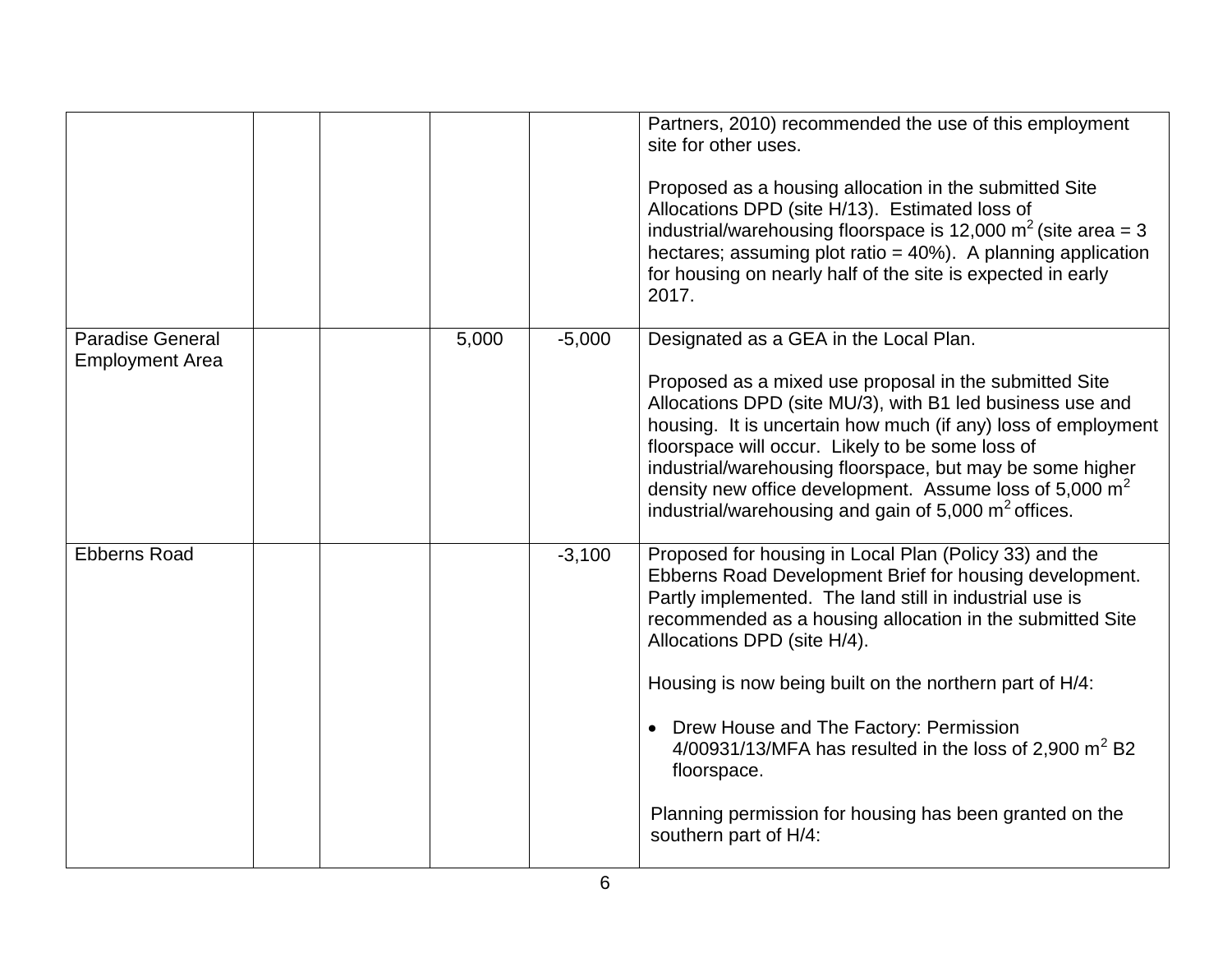|                                                   |  |       |          | Partners, 2010) recommended the use of this employment<br>site for other uses.<br>Proposed as a housing allocation in the submitted Site<br>Allocations DPD (site H/13). Estimated loss of<br>industrial/warehousing floorspace is 12,000 $m^2$ (site area = 3<br>hectares; assuming plot ratio = 40%). A planning application<br>for housing on nearly half of the site is expected in early<br>2017.                                                                                                                                                     |
|---------------------------------------------------|--|-------|----------|------------------------------------------------------------------------------------------------------------------------------------------------------------------------------------------------------------------------------------------------------------------------------------------------------------------------------------------------------------------------------------------------------------------------------------------------------------------------------------------------------------------------------------------------------------|
| <b>Paradise General</b><br><b>Employment Area</b> |  | 5,000 | $-5,000$ | Designated as a GEA in the Local Plan.<br>Proposed as a mixed use proposal in the submitted Site<br>Allocations DPD (site MU/3), with B1 led business use and<br>housing. It is uncertain how much (if any) loss of employment<br>floorspace will occur. Likely to be some loss of<br>industrial/warehousing floorspace, but may be some higher<br>density new office development. Assume loss of 5,000 $m2$<br>industrial/warehousing and gain of 5,000 m <sup>2</sup> offices.                                                                           |
| <b>Ebberns Road</b>                               |  |       | $-3,100$ | Proposed for housing in Local Plan (Policy 33) and the<br>Ebberns Road Development Brief for housing development.<br>Partly implemented. The land still in industrial use is<br>recommended as a housing allocation in the submitted Site<br>Allocations DPD (site H/4).<br>Housing is now being built on the northern part of H/4:<br>• Drew House and The Factory: Permission<br>$4/00931/13/MFA$ has resulted in the loss of 2,900 m <sup>2</sup> B2<br>floorspace.<br>Planning permission for housing has been granted on the<br>southern part of H/4: |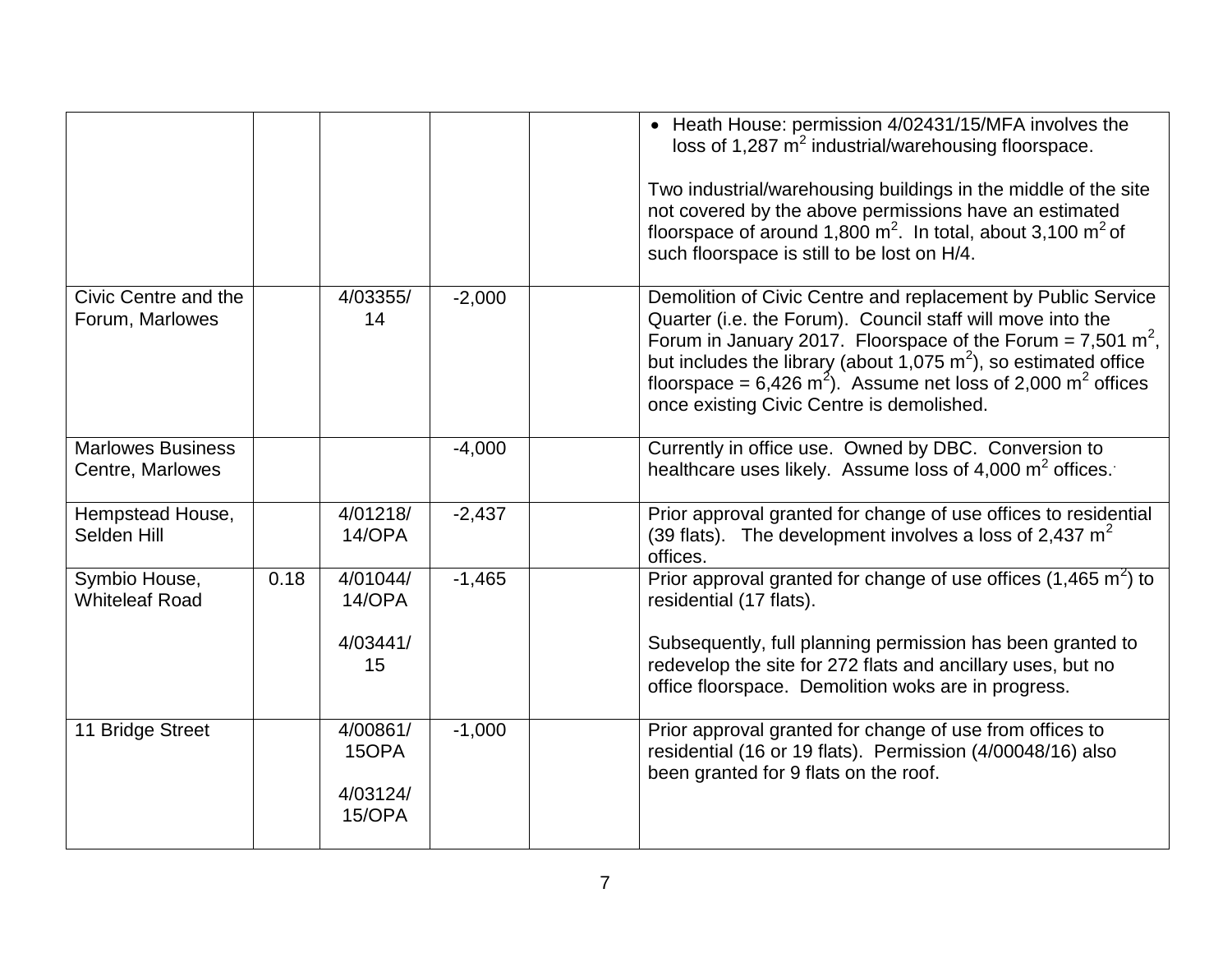|                                              |      |                                         |          | • Heath House: permission 4/02431/15/MFA involves the<br>loss of 1,287 $\text{m}^2$ industrial/warehousing floorspace.<br>Two industrial/warehousing buildings in the middle of the site<br>not covered by the above permissions have an estimated<br>floorspace of around 1,800 $m^2$ . In total, about 3,100 $m^2$ of<br>such floorspace is still to be lost on H/4.                                            |
|----------------------------------------------|------|-----------------------------------------|----------|-------------------------------------------------------------------------------------------------------------------------------------------------------------------------------------------------------------------------------------------------------------------------------------------------------------------------------------------------------------------------------------------------------------------|
| Civic Centre and the<br>Forum, Marlowes      |      | 4/03355/<br>14                          | $-2,000$ | Demolition of Civic Centre and replacement by Public Service<br>Quarter (i.e. the Forum). Council staff will move into the<br>Forum in January 2017. Floorspace of the Forum = 7,501 m <sup>2</sup> ,<br>but includes the library (about 1,075 $m2$ ), so estimated office<br>floorspace = $6,426$ m <sup>2</sup> ). Assume net loss of 2,000 m <sup>2</sup> offices<br>once existing Civic Centre is demolished. |
| <b>Marlowes Business</b><br>Centre, Marlowes |      |                                         | $-4,000$ | Currently in office use. Owned by DBC. Conversion to<br>healthcare uses likely. Assume loss of 4,000 $m^2$ offices.                                                                                                                                                                                                                                                                                               |
| Hempstead House,<br>Selden Hill              |      | 4/01218/<br>14/OPA                      | $-2,437$ | Prior approval granted for change of use offices to residential<br>(39 flats). The development involves a loss of 2,437 $m2$<br>offices.                                                                                                                                                                                                                                                                          |
| Symbio House,<br><b>Whiteleaf Road</b>       | 0.18 | 4/01044/<br>14/OPA<br>4/03441/<br>15    | $-1,465$ | Prior approval granted for change of use offices $(1,465 \text{ m}^2)$ to<br>residential (17 flats).<br>Subsequently, full planning permission has been granted to<br>redevelop the site for 272 flats and ancillary uses, but no<br>office floorspace. Demolition woks are in progress.                                                                                                                          |
| 11 Bridge Street                             |      | 4/00861/<br>15OPA<br>4/03124/<br>15/OPA | $-1,000$ | Prior approval granted for change of use from offices to<br>residential (16 or 19 flats). Permission (4/00048/16) also<br>been granted for 9 flats on the roof.                                                                                                                                                                                                                                                   |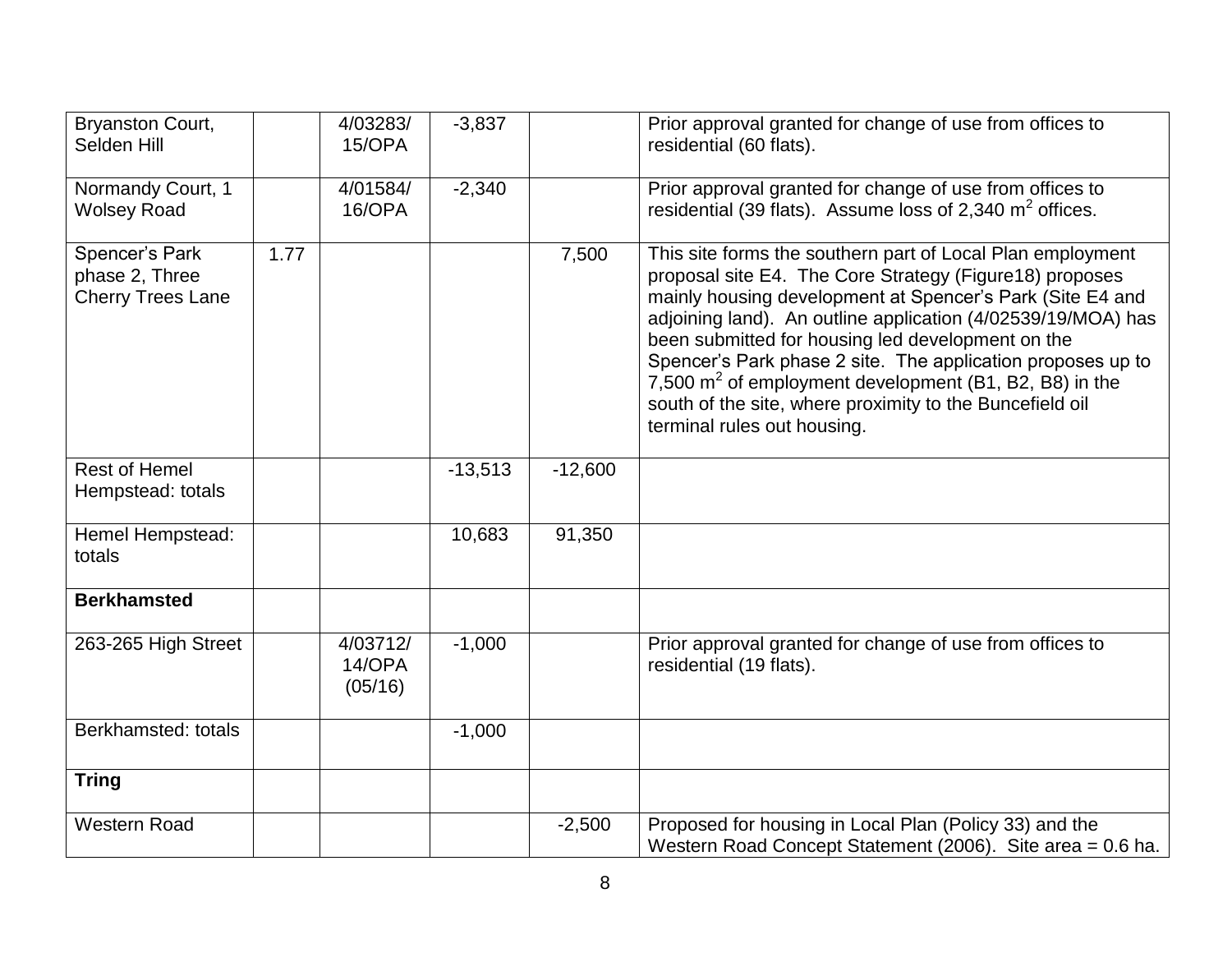| <b>Bryanston Court,</b><br>Selden Hill                       |      | 4/03283/<br>15/OPA            | $-3,837$  |           | Prior approval granted for change of use from offices to<br>residential (60 flats).                                                                                                                                                                                                                                                                                                                                                                                                                                            |
|--------------------------------------------------------------|------|-------------------------------|-----------|-----------|--------------------------------------------------------------------------------------------------------------------------------------------------------------------------------------------------------------------------------------------------------------------------------------------------------------------------------------------------------------------------------------------------------------------------------------------------------------------------------------------------------------------------------|
| Normandy Court, 1<br><b>Wolsey Road</b>                      |      | 4/01584/<br>16/OPA            | $-2,340$  |           | Prior approval granted for change of use from offices to<br>residential (39 flats). Assume loss of 2,340 $m2$ offices.                                                                                                                                                                                                                                                                                                                                                                                                         |
| Spencer's Park<br>phase 2, Three<br><b>Cherry Trees Lane</b> | 1.77 |                               |           | 7,500     | This site forms the southern part of Local Plan employment<br>proposal site E4. The Core Strategy (Figure 18) proposes<br>mainly housing development at Spencer's Park (Site E4 and<br>adjoining land). An outline application (4/02539/19/MOA) has<br>been submitted for housing led development on the<br>Spencer's Park phase 2 site. The application proposes up to<br>7,500 $m2$ of employment development (B1, B2, B8) in the<br>south of the site, where proximity to the Buncefield oil<br>terminal rules out housing. |
| <b>Rest of Hemel</b><br>Hempstead: totals                    |      |                               | $-13,513$ | $-12,600$ |                                                                                                                                                                                                                                                                                                                                                                                                                                                                                                                                |
| Hemel Hempstead:<br>totals                                   |      |                               | 10,683    | 91,350    |                                                                                                                                                                                                                                                                                                                                                                                                                                                                                                                                |
| <b>Berkhamsted</b>                                           |      |                               |           |           |                                                                                                                                                                                                                                                                                                                                                                                                                                                                                                                                |
| 263-265 High Street                                          |      | 4/03712/<br>14/OPA<br>(05/16) | $-1,000$  |           | Prior approval granted for change of use from offices to<br>residential (19 flats).                                                                                                                                                                                                                                                                                                                                                                                                                                            |
| Berkhamsted: totals                                          |      |                               | $-1,000$  |           |                                                                                                                                                                                                                                                                                                                                                                                                                                                                                                                                |
| <b>Tring</b>                                                 |      |                               |           |           |                                                                                                                                                                                                                                                                                                                                                                                                                                                                                                                                |
| <b>Western Road</b>                                          |      |                               |           | $-2,500$  | Proposed for housing in Local Plan (Policy 33) and the<br>Western Road Concept Statement (2006). Site area = 0.6 ha.                                                                                                                                                                                                                                                                                                                                                                                                           |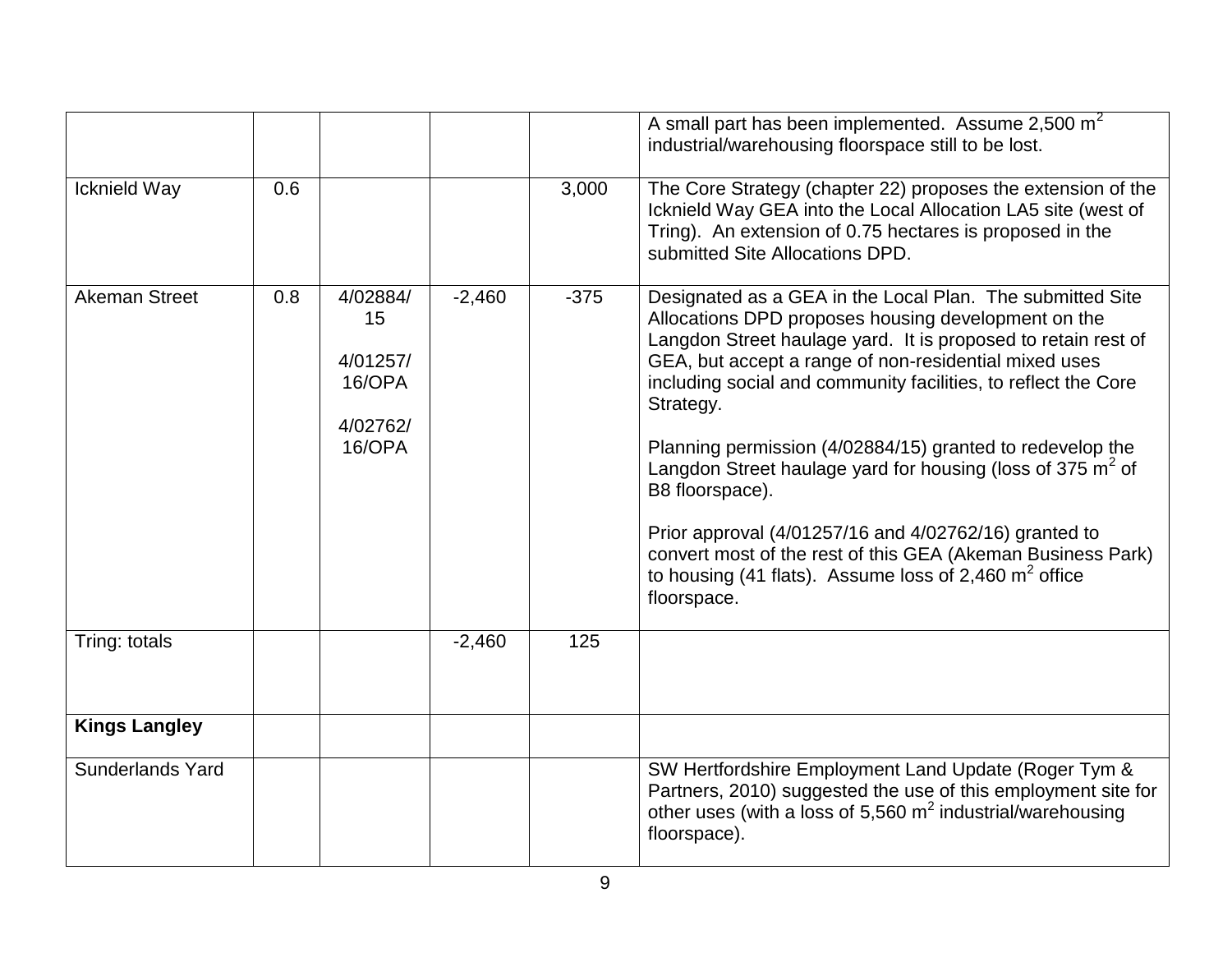|                         |     |                                                            |          |        | A small part has been implemented. Assume $2,500 \text{ m}^2$<br>industrial/warehousing floorspace still to be lost.                                                                                                                                                                                                                                                                                                                                                                                                                                                                                                                                                        |
|-------------------------|-----|------------------------------------------------------------|----------|--------|-----------------------------------------------------------------------------------------------------------------------------------------------------------------------------------------------------------------------------------------------------------------------------------------------------------------------------------------------------------------------------------------------------------------------------------------------------------------------------------------------------------------------------------------------------------------------------------------------------------------------------------------------------------------------------|
| Icknield Way            | 0.6 |                                                            |          | 3,000  | The Core Strategy (chapter 22) proposes the extension of the<br>Icknield Way GEA into the Local Allocation LA5 site (west of<br>Tring). An extension of 0.75 hectares is proposed in the<br>submitted Site Allocations DPD.                                                                                                                                                                                                                                                                                                                                                                                                                                                 |
| <b>Akeman Street</b>    | 0.8 | 4/02884/<br>15<br>4/01257/<br>16/OPA<br>4/02762/<br>16/OPA | $-2,460$ | $-375$ | Designated as a GEA in the Local Plan. The submitted Site<br>Allocations DPD proposes housing development on the<br>Langdon Street haulage yard. It is proposed to retain rest of<br>GEA, but accept a range of non-residential mixed uses<br>including social and community facilities, to reflect the Core<br>Strategy.<br>Planning permission (4/02884/15) granted to redevelop the<br>Langdon Street haulage yard for housing (loss of 375 $m2$ of<br>B8 floorspace).<br>Prior approval (4/01257/16 and 4/02762/16) granted to<br>convert most of the rest of this GEA (Akeman Business Park)<br>to housing (41 flats). Assume loss of 2,460 $m2$ office<br>floorspace. |
| Tring: totals           |     |                                                            | $-2,460$ | 125    |                                                                                                                                                                                                                                                                                                                                                                                                                                                                                                                                                                                                                                                                             |
| <b>Kings Langley</b>    |     |                                                            |          |        |                                                                                                                                                                                                                                                                                                                                                                                                                                                                                                                                                                                                                                                                             |
| <b>Sunderlands Yard</b> |     |                                                            |          |        | SW Hertfordshire Employment Land Update (Roger Tym &<br>Partners, 2010) suggested the use of this employment site for<br>other uses (with a loss of 5,560 $m^2$ industrial/warehousing<br>floorspace).                                                                                                                                                                                                                                                                                                                                                                                                                                                                      |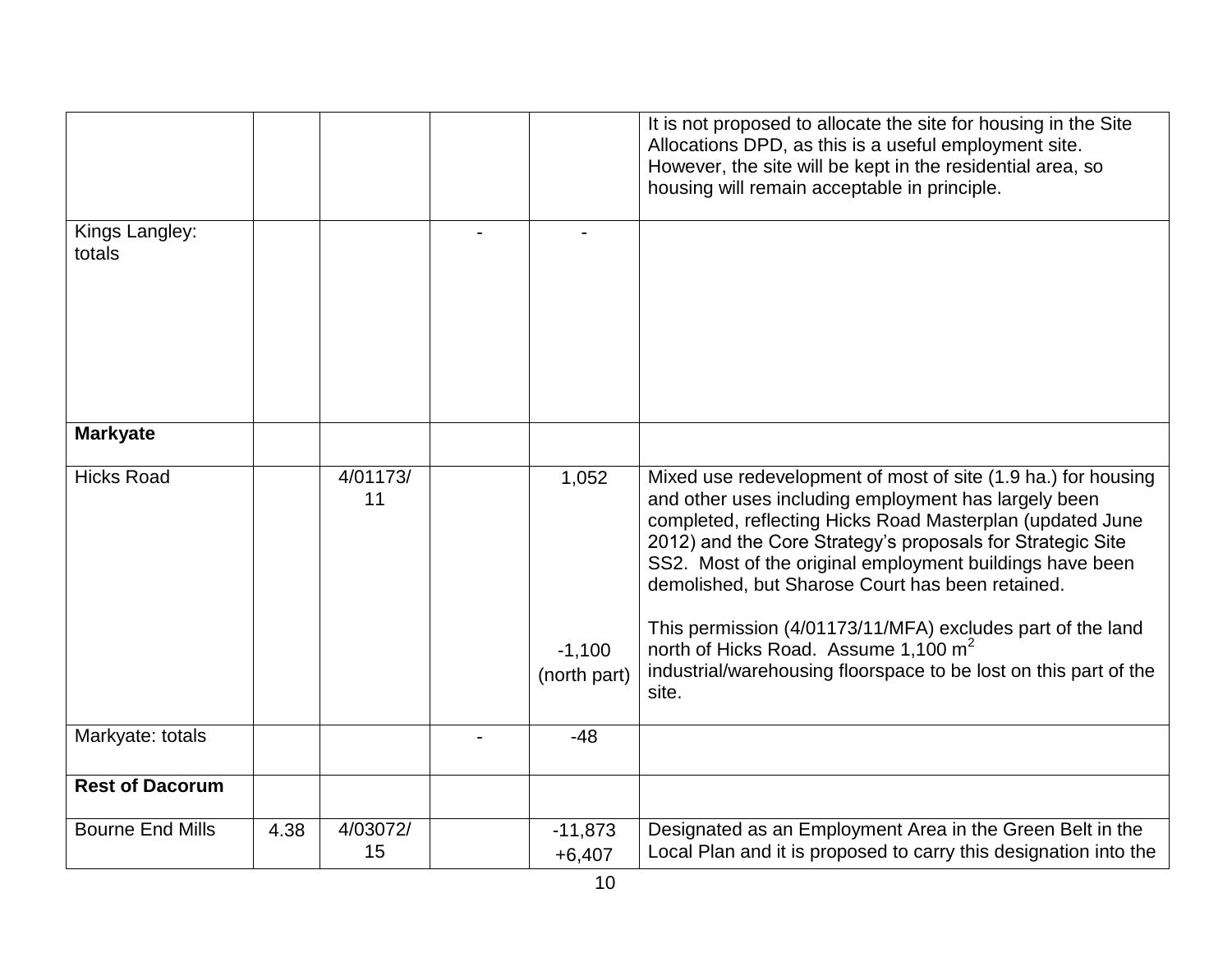|                          |      |                |                       | It is not proposed to allocate the site for housing in the Site<br>Allocations DPD, as this is a useful employment site.<br>However, the site will be kept in the residential area, so<br>housing will remain acceptable in principle.                                                                                                                                                                                                                                             |
|--------------------------|------|----------------|-----------------------|------------------------------------------------------------------------------------------------------------------------------------------------------------------------------------------------------------------------------------------------------------------------------------------------------------------------------------------------------------------------------------------------------------------------------------------------------------------------------------|
| Kings Langley:<br>totals |      |                |                       |                                                                                                                                                                                                                                                                                                                                                                                                                                                                                    |
| <b>Markyate</b>          |      |                |                       |                                                                                                                                                                                                                                                                                                                                                                                                                                                                                    |
| <b>Hicks Road</b>        |      | 4/01173/<br>11 | 1,052<br>$-1,100$     | Mixed use redevelopment of most of site (1.9 ha.) for housing<br>and other uses including employment has largely been<br>completed, reflecting Hicks Road Masterplan (updated June<br>2012) and the Core Strategy's proposals for Strategic Site<br>SS2. Most of the original employment buildings have been<br>demolished, but Sharose Court has been retained.<br>This permission (4/01173/11/MFA) excludes part of the land<br>north of Hicks Road. Assume 1,100 m <sup>2</sup> |
|                          |      |                | (north part)          | industrial/warehousing floorspace to be lost on this part of the<br>site.                                                                                                                                                                                                                                                                                                                                                                                                          |
| Markyate: totals         |      |                | $-48$                 |                                                                                                                                                                                                                                                                                                                                                                                                                                                                                    |
| <b>Rest of Dacorum</b>   |      |                |                       |                                                                                                                                                                                                                                                                                                                                                                                                                                                                                    |
| <b>Bourne End Mills</b>  | 4.38 | 4/03072/<br>15 | $-11,873$<br>$+6,407$ | Designated as an Employment Area in the Green Belt in the<br>Local Plan and it is proposed to carry this designation into the                                                                                                                                                                                                                                                                                                                                                      |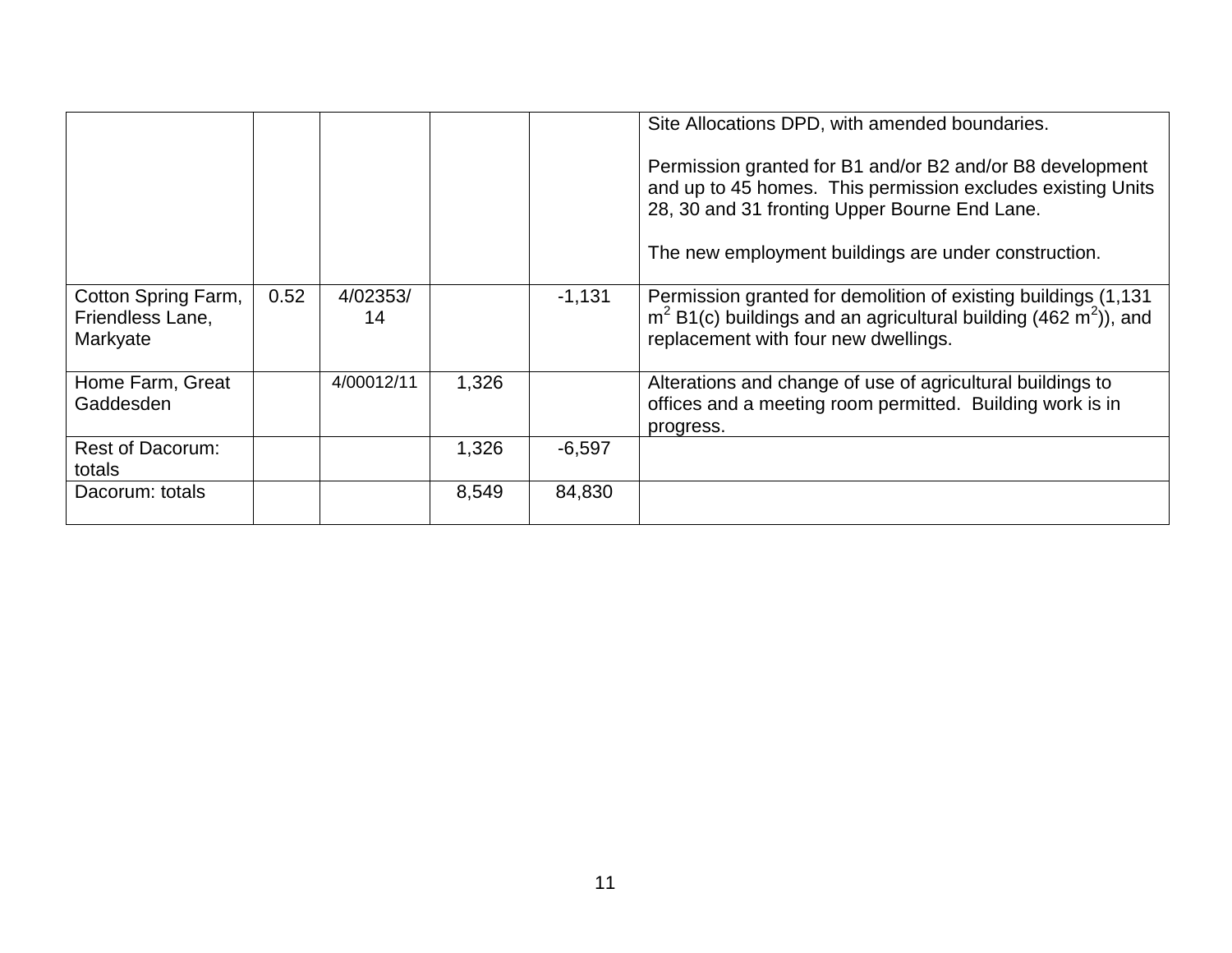|                                                     |      |                |       |          | Site Allocations DPD, with amended boundaries.<br>Permission granted for B1 and/or B2 and/or B8 development<br>and up to 45 homes. This permission excludes existing Units<br>28, 30 and 31 fronting Upper Bourne End Lane.<br>The new employment buildings are under construction. |
|-----------------------------------------------------|------|----------------|-------|----------|-------------------------------------------------------------------------------------------------------------------------------------------------------------------------------------------------------------------------------------------------------------------------------------|
| Cotton Spring Farm,<br>Friendless Lane,<br>Markyate | 0.52 | 4/02353/<br>14 |       | $-1,131$ | Permission granted for demolition of existing buildings (1,131)<br>$m2 B1(c)$ buildings and an agricultural building (462 m <sup>2</sup> )), and<br>replacement with four new dwellings.                                                                                            |
| Home Farm, Great<br>Gaddesden                       |      | 4/00012/11     | 1,326 |          | Alterations and change of use of agricultural buildings to<br>offices and a meeting room permitted. Building work is in<br>progress.                                                                                                                                                |
| <b>Rest of Dacorum:</b><br>totals                   |      |                | 1,326 | $-6,597$ |                                                                                                                                                                                                                                                                                     |
| Dacorum: totals                                     |      |                | 8,549 | 84,830   |                                                                                                                                                                                                                                                                                     |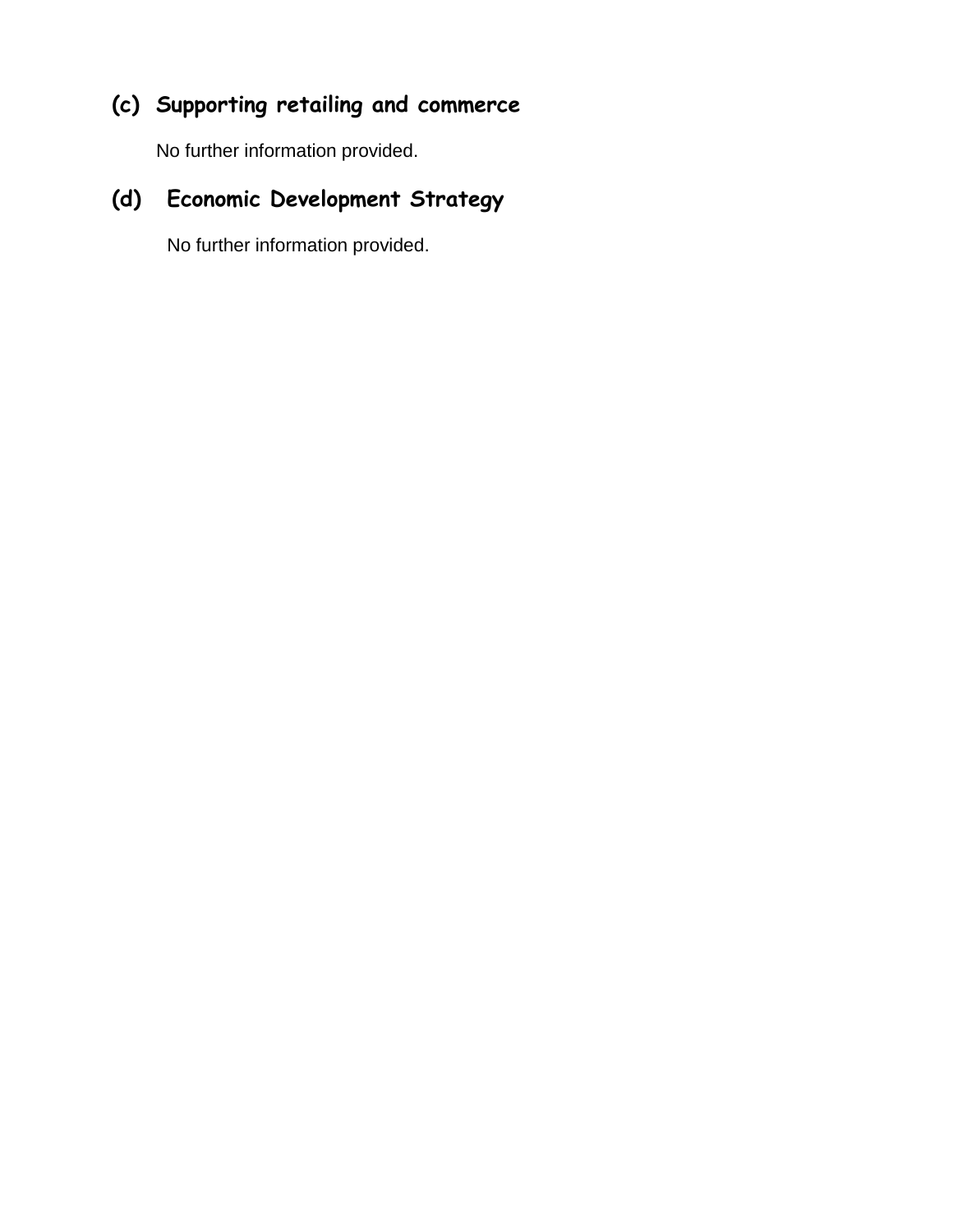## **(c) Supporting retailing and commerce**

No further information provided.

## **(d) Economic Development Strategy**

No further information provided.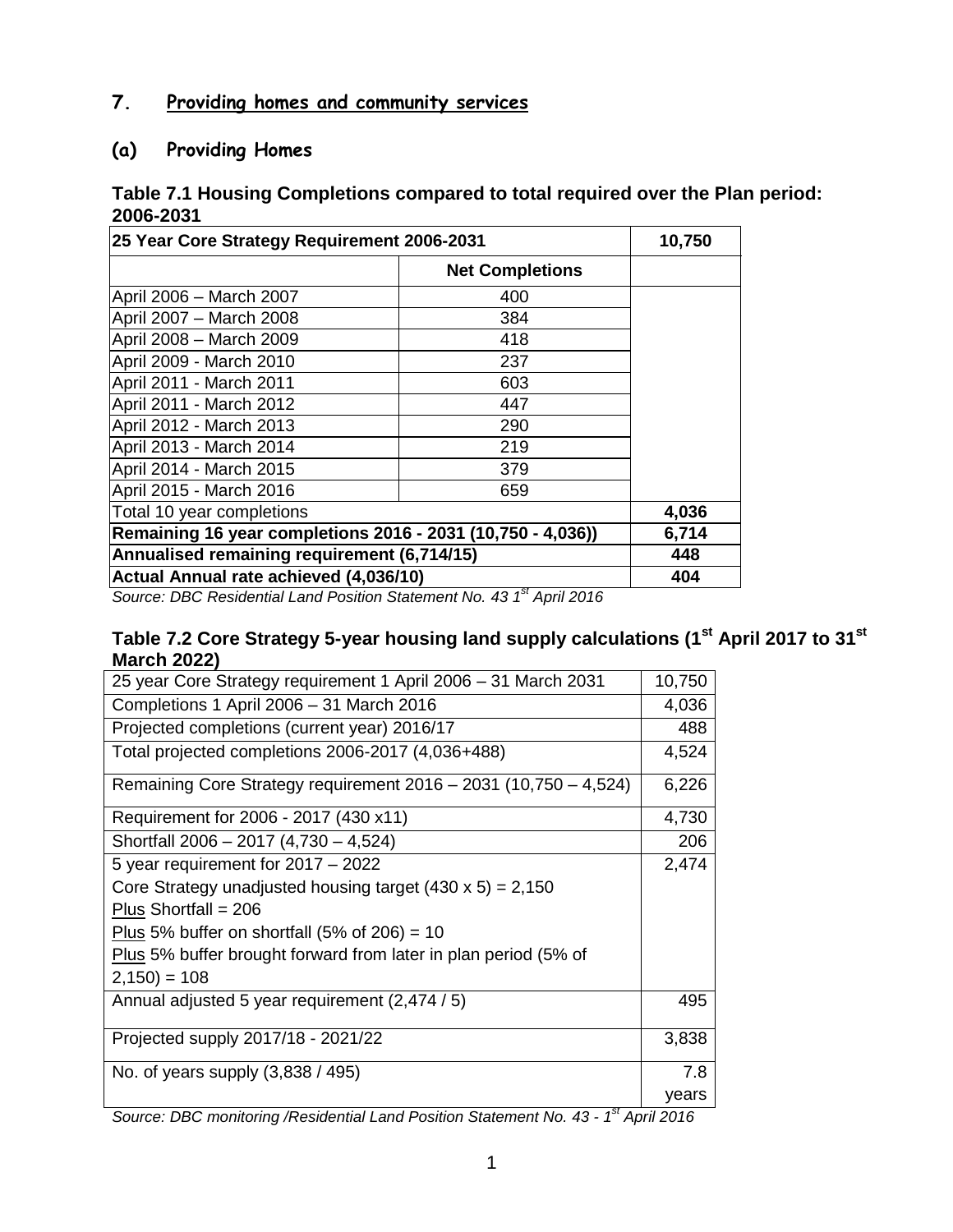#### **7. Providing homes and community services**

#### **(a) Providing Homes**

#### **Table 7.1 Housing Completions compared to total required over the Plan period: 2006-2031**

| 25 Year Core Strategy Requirement 2006-2031                 | 10,750                 |     |
|-------------------------------------------------------------|------------------------|-----|
|                                                             | <b>Net Completions</b> |     |
| April 2006 - March 2007                                     | 400                    |     |
| April 2007 - March 2008                                     | 384                    |     |
| April 2008 - March 2009                                     | 418                    |     |
| April 2009 - March 2010                                     | 237                    |     |
| April 2011 - March 2011                                     | 603                    |     |
| April 2011 - March 2012                                     | 447                    |     |
| April 2012 - March 2013                                     | 290                    |     |
| April 2013 - March 2014                                     | 219                    |     |
| April 2014 - March 2015                                     | 379                    |     |
| April 2015 - March 2016                                     | 659                    |     |
| Total 10 year completions                                   | 4,036                  |     |
| Remaining 16 year completions 2016 - 2031 (10,750 - 4,036)) | 6,714                  |     |
| Annualised remaining requirement (6,714/15)                 | 448                    |     |
| Actual Annual rate achieved (4,036/10)                      |                        | 404 |

*Source: DBC Residential Land Position Statement No. 43 1 st April 2016*

#### **Table 7.2 Core Strategy 5-year housing land supply calculations (1st April 2017 to 31st March 2022)**

| 25 year Core Strategy requirement 1 April 2006 - 31 March 2031                    | 10,750 |
|-----------------------------------------------------------------------------------|--------|
| Completions 1 April 2006 - 31 March 2016                                          | 4,036  |
| Projected completions (current year) 2016/17                                      | 488    |
| Total projected completions 2006-2017 (4,036+488)                                 | 4,524  |
| Remaining Core Strategy requirement 2016 - 2031 (10,750 - 4,524)                  | 6,226  |
| Requirement for 2006 - 2017 (430 x11)                                             | 4,730  |
| Shortfall 2006 - 2017 (4,730 - 4,524)                                             | 206    |
| 5 year requirement for 2017 - 2022                                                | 2,474  |
| Core Strategy unadjusted housing target $(430 \times 5) = 2,150$                  |        |
| Plus Shortfall = $206$                                                            |        |
| Plus 5% buffer on shortfall $(5\% \text{ of } 206) = 10$                          |        |
| Plus 5% buffer brought forward from later in plan period (5% of                   |        |
| $2,150$ ) = 108                                                                   |        |
| Annual adjusted 5 year requirement (2,474 / 5)                                    | 495    |
| Projected supply 2017/18 - 2021/22                                                | 3,838  |
| No. of years supply $(3,838/495)$                                                 | 7.8    |
|                                                                                   | years  |
| Source: DPC monitoring /Posidontial Land Position Statement No. 12 1st April 2016 |        |

*Source: DBC monitoring /Residential Land Position Statement No. 43 - 1 st April 2016*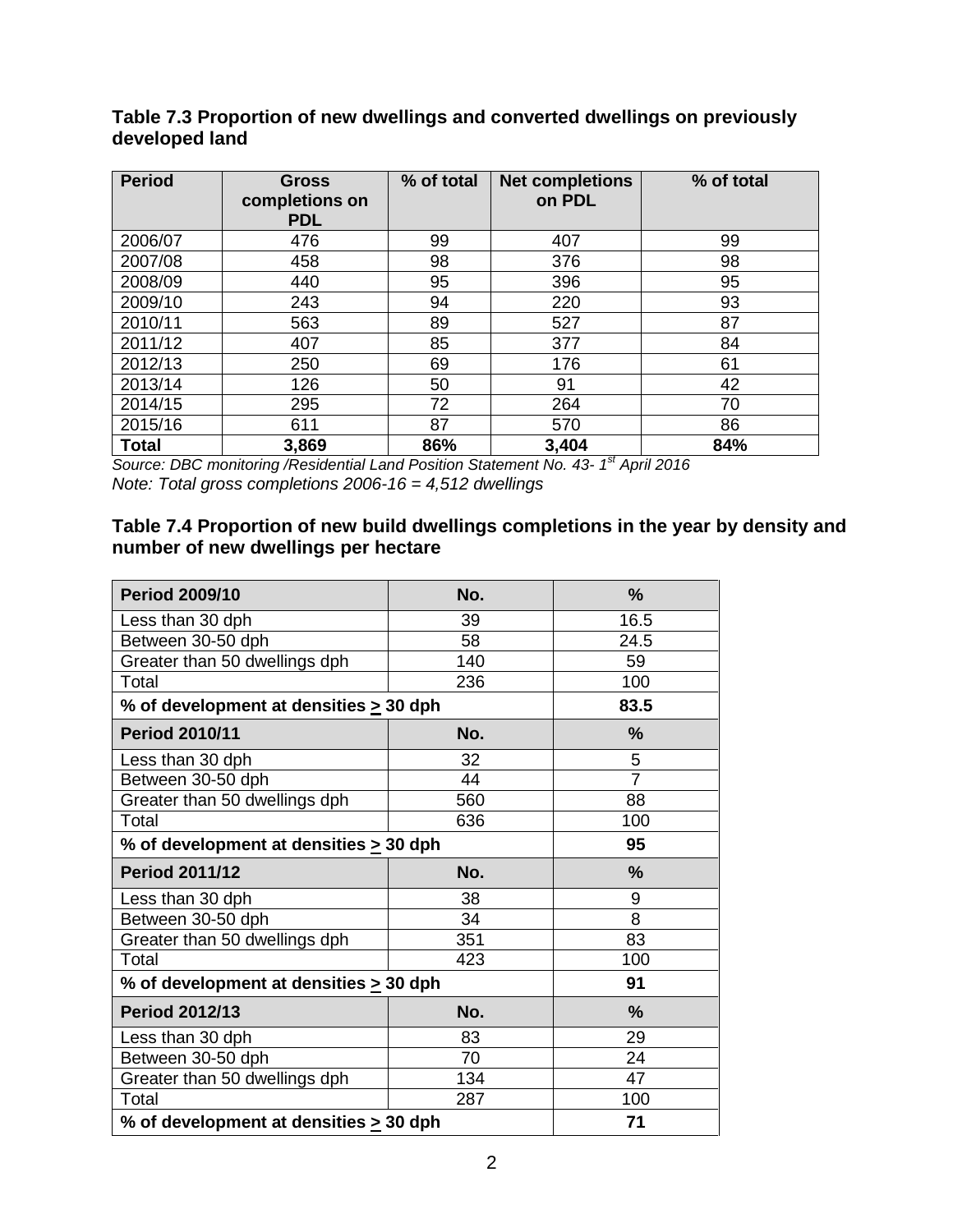| <b>Period</b> | <b>Gross</b><br>completions on<br><b>PDL</b> | % of total | <b>Net completions</b><br>on PDL | % of total |
|---------------|----------------------------------------------|------------|----------------------------------|------------|
| 2006/07       | 476                                          | 99         | 407                              | 99         |
| 2007/08       | 458                                          | 98         | 376                              | 98         |
| 2008/09       | 440                                          | 95         | 396                              | 95         |
| 2009/10       | 243                                          | 94         | 220                              | 93         |
| 2010/11       | 563                                          | 89         | 527                              | 87         |
| 2011/12       | 407                                          | 85         | 377                              | 84         |
| 2012/13       | 250                                          | 69         | 176                              | 61         |
| 2013/14       | 126                                          | 50         | 91                               | 42         |
| 2014/15       | 295                                          | 72         | 264                              | 70         |
| 2015/16       | 611                                          | 87         | 570                              | 86         |
| <b>Total</b>  | 3,869                                        | 86%        | 3,404                            | 84%        |

**Table 7.3 Proportion of new dwellings and converted dwellings on previously developed land**

*Source: DBC monitoring /Residential Land Position Statement No. 43- 1 st April 2016 Note: Total gross completions 2006-16 = 4,512 dwellings*

#### **Table 7.4 Proportion of new build dwellings completions in the year by density and number of new dwellings per hectare**

| <b>Period 2009/10</b>                       | No. | $\frac{9}{6}$  |
|---------------------------------------------|-----|----------------|
| Less than 30 dph                            | 39  | 16.5           |
| Between 30-50 dph                           | 58  | 24.5           |
| Greater than 50 dwellings dph               | 140 | 59             |
| Total                                       | 236 | 100            |
| % of development at densities $\geq$ 30 dph |     | 83.5           |
| <b>Period 2010/11</b>                       | No. | $\frac{0}{0}$  |
| Less than 30 dph                            | 32  | 5              |
| Between 30-50 dph                           | 44  | $\overline{7}$ |
| Greater than 50 dwellings dph               | 560 | 88             |
| Total                                       | 636 | 100            |
| % of development at densities $\geq$ 30 dph | 95  |                |
| <b>Period 2011/12</b>                       | No. | $\frac{9}{6}$  |
| Less than 30 dph                            | 38  | 9              |
| Between 30-50 dph                           | 34  | 8              |
| Greater than 50 dwellings dph               | 351 | 83             |
| Total                                       | 423 | 100            |
| % of development at densities > 30 dph      |     | 91             |
| <b>Period 2012/13</b>                       | No. | $\frac{9}{6}$  |
| Less than 30 dph                            | 83  | 29             |
| Between 30-50 dph                           | 70  | 24             |
| Greater than 50 dwellings dph               | 134 | 47             |
| Total                                       | 287 | 100            |
| % of development at densities $\geq$ 30 dph | 71  |                |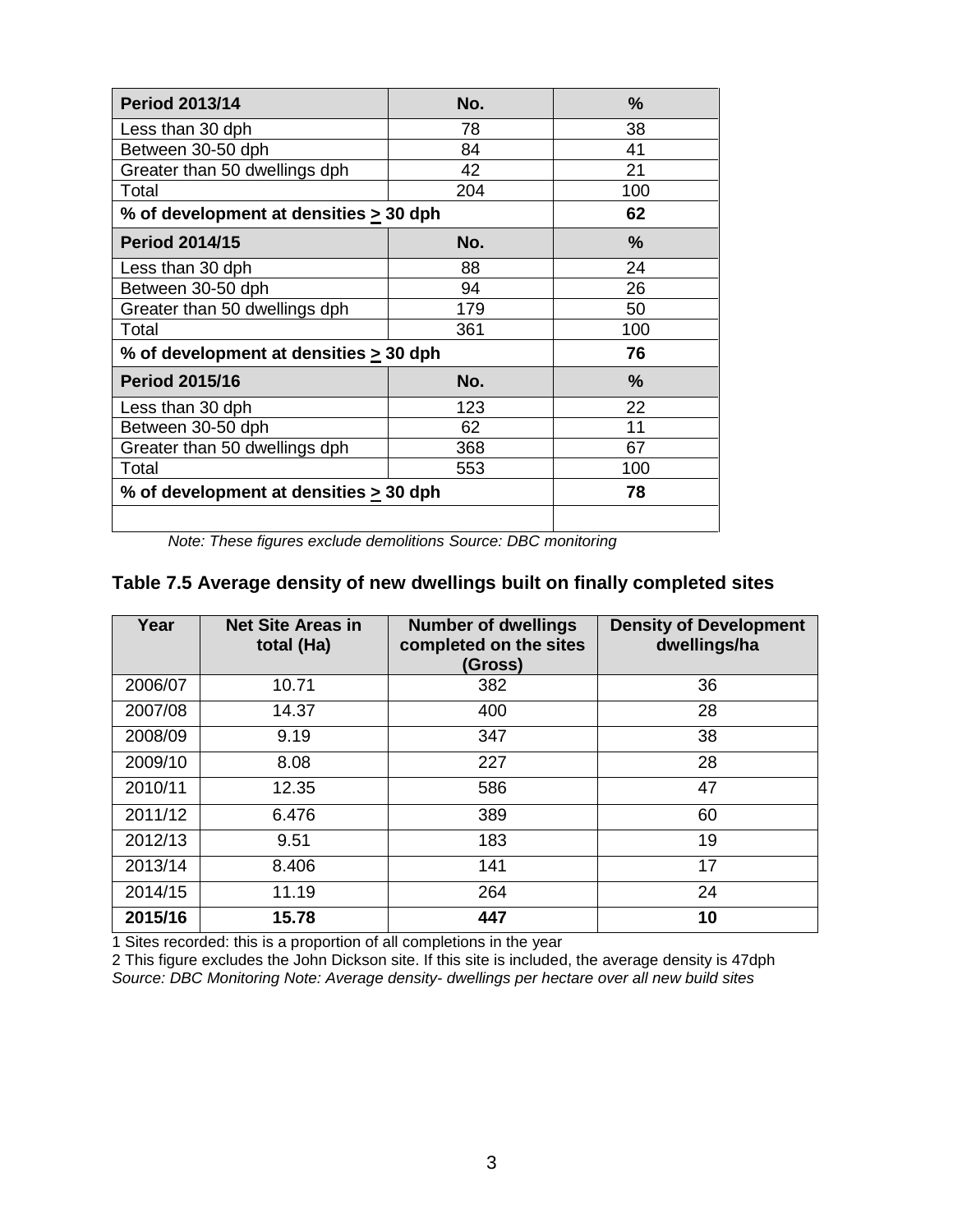| <b>Period 2013/14</b>                       | No. | %             |
|---------------------------------------------|-----|---------------|
| Less than 30 dph                            | 78  | 38            |
| Between 30-50 dph                           | 84  | 41            |
| Greater than 50 dwellings dph               | 42  | 21            |
| Total                                       | 204 | 100           |
| % of development at densities > 30 dph      |     | 62            |
| <b>Period 2014/15</b>                       | No. | %             |
| Less than 30 dph                            | 88  | 24            |
| Between 30-50 dph                           | 94  | 26            |
| Greater than 50 dwellings dph               | 179 | 50            |
| Total                                       | 361 | 100           |
| % of development at densities > 30 dph      |     | 76            |
| <b>Period 2015/16</b>                       | No. | $\frac{9}{6}$ |
| Less than 30 dph                            | 123 | 22            |
| Between 30-50 dph                           | 62  | 11            |
| Greater than 50 dwellings dph               | 368 | 67            |
| Total                                       | 553 | 100           |
| % of development at densities $\geq$ 30 dph | 78  |               |
|                                             |     |               |

*Note: These figures exclude demolitions Source: DBC monitoring* 

#### **Table 7.5 Average density of new dwellings built on finally completed sites**

| Year    | <b>Net Site Areas in</b><br>total (Ha) | <b>Number of dwellings</b><br>completed on the sites<br>(Gross) | <b>Density of Development</b><br>dwellings/ha |
|---------|----------------------------------------|-----------------------------------------------------------------|-----------------------------------------------|
| 2006/07 | 10.71                                  | 382                                                             | 36                                            |
| 2007/08 | 14.37                                  | 400                                                             | 28                                            |
| 2008/09 | 9.19                                   | 347                                                             | 38                                            |
| 2009/10 | 8.08                                   | 227                                                             | 28                                            |
| 2010/11 | 12.35                                  | 586                                                             | 47                                            |
| 2011/12 | 6.476                                  | 389                                                             | 60                                            |
| 2012/13 | 9.51                                   | 183                                                             | 19                                            |
| 2013/14 | 8.406                                  | 141                                                             | 17                                            |
| 2014/15 | 11.19                                  | 264                                                             | 24                                            |
| 2015/16 | 15.78                                  | 447                                                             | 10                                            |

1 Sites recorded: this is a proportion of all completions in the year

2 This figure excludes the John Dickson site. If this site is included, the average density is 47dph *Source: DBC Monitoring Note: Average density- dwellings per hectare over all new build sites*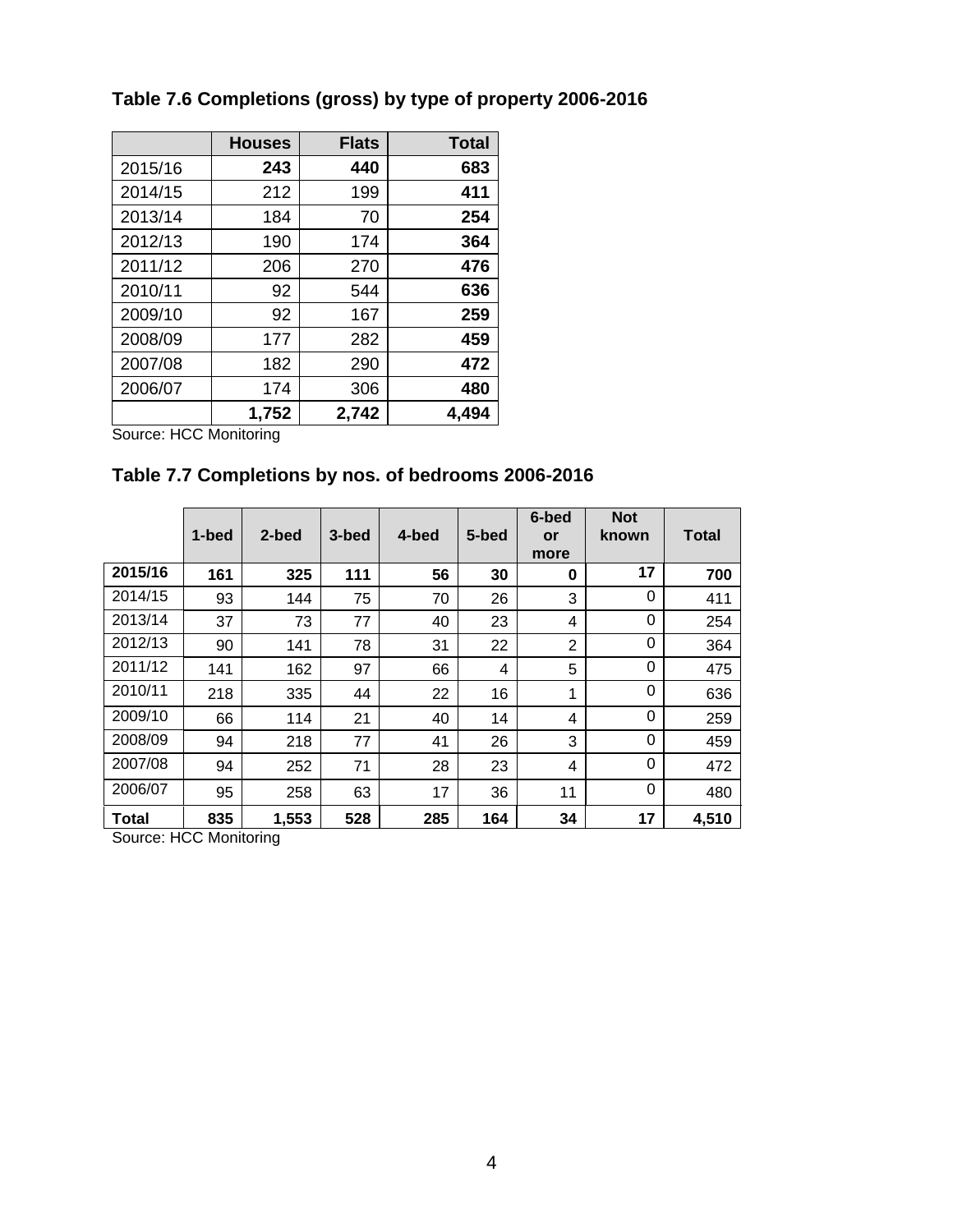|         | <b>Houses</b> | <b>Flats</b> | <b>Total</b> |
|---------|---------------|--------------|--------------|
| 2015/16 | 243           | 440          | 683          |
| 2014/15 | 212           | 199          | 411          |
| 2013/14 | 184           | 70           | 254          |
| 2012/13 | 190           | 174          | 364          |
| 2011/12 | 206           | 270          | 476          |
| 2010/11 | 92            | 544          | 636          |
| 2009/10 | 92            | 167          | 259          |
| 2008/09 | 177           | 282          | 459          |
| 2007/08 | 182           | 290          | 472          |
| 2006/07 | 174           | 306          | 480          |
|         | 1,752         | 2,742        | 4,494        |

## **Table 7.6 Completions (gross) by type of property 2006-2016**

Source: HCC Monitoring

#### **Table 7.7 Completions by nos. of bedrooms 2006-2016**

|         | 1-bed | 2-bed | 3-bed | 4-bed | 5-bed | 6-bed<br>or<br>more | <b>Not</b><br>known | <b>Total</b> |
|---------|-------|-------|-------|-------|-------|---------------------|---------------------|--------------|
| 2015/16 | 161   | 325   | 111   | 56    | 30    | 0                   | 17                  | 700          |
| 2014/15 | 93    | 144   | 75    | 70    | 26    | 3                   | 0                   | 411          |
| 2013/14 | 37    | 73    | 77    | 40    | 23    | 4                   | 0                   | 254          |
| 2012/13 | 90    | 141   | 78    | 31    | 22    | $\overline{2}$      | 0                   | 364          |
| 2011/12 | 141   | 162   | 97    | 66    | 4     | 5                   | 0                   | 475          |
| 2010/11 | 218   | 335   | 44    | 22    | 16    | 1                   | 0                   | 636          |
| 2009/10 | 66    | 114   | 21    | 40    | 14    | 4                   | 0                   | 259          |
| 2008/09 | 94    | 218   | 77    | 41    | 26    | 3                   | 0                   | 459          |
| 2007/08 | 94    | 252   | 71    | 28    | 23    | 4                   | 0                   | 472          |
| 2006/07 | 95    | 258   | 63    | 17    | 36    | 11                  | 0                   | 480          |
| Total   | 835   | 1,553 | 528   | 285   | 164   | 34                  | 17                  | 4,510        |

Source: HCC Monitoring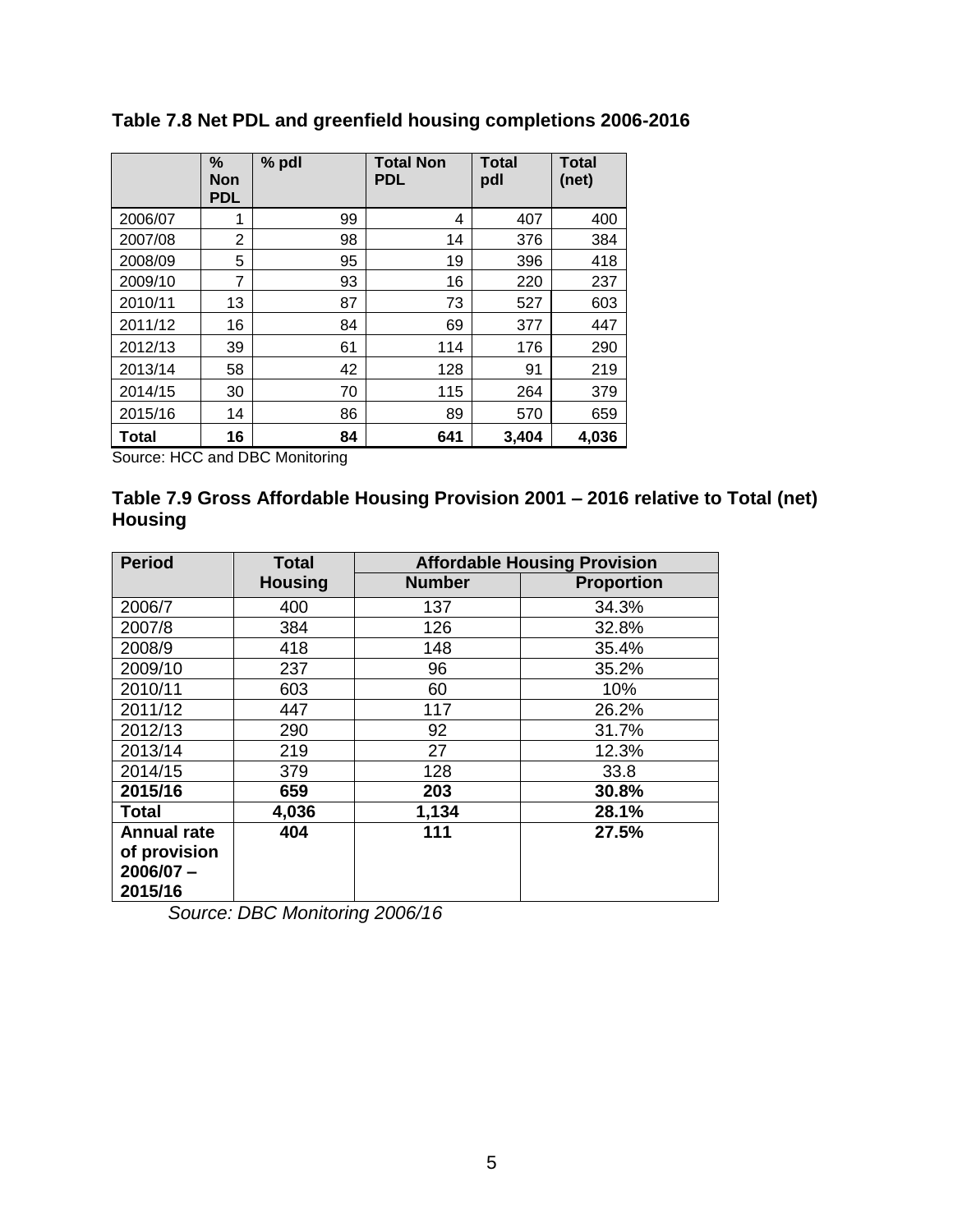|         | %<br>Non<br><b>PDL</b> | % pdl | <b>Total Non</b><br><b>PDL</b> | <b>Total</b><br>pdl | <b>Total</b><br>(net) |
|---------|------------------------|-------|--------------------------------|---------------------|-----------------------|
| 2006/07 | 1                      | 99    | 4                              | 407                 | 400                   |
| 2007/08 | $\overline{2}$         | 98    | 14                             | 376                 | 384                   |
| 2008/09 | 5                      | 95    | 19                             | 396                 | 418                   |
| 2009/10 | 7                      | 93    | 16                             | 220                 | 237                   |
| 2010/11 | 13                     | 87    | 73                             | 527                 | 603                   |
| 2011/12 | 16                     | 84    | 69                             | 377                 | 447                   |
| 2012/13 | 39                     | 61    | 114                            | 176                 | 290                   |
| 2013/14 | 58                     | 42    | 128                            | 91                  | 219                   |
| 2014/15 | 30                     | 70    | 115                            | 264                 | 379                   |
| 2015/16 | 14                     | 86    | 89                             | 570                 | 659                   |
| Total   | 16                     | 84    | 641                            | 3,404               | 4,036                 |

#### **Table 7.8 Net PDL and greenfield housing completions 2006-2016**

Source: HCC and DBC Monitoring

#### **Table 7.9 Gross Affordable Housing Provision 2001 – 2016 relative to Total (net) Housing**

| <b>Period</b>      | <b>Total</b>   | <b>Affordable Housing Provision</b> |                   |
|--------------------|----------------|-------------------------------------|-------------------|
|                    | <b>Housing</b> | <b>Number</b>                       | <b>Proportion</b> |
| 2006/7             | 400            | 137                                 | 34.3%             |
| 2007/8             | 384            | 126                                 | 32.8%             |
| 2008/9             | 418            | 148                                 | 35.4%             |
| 2009/10            | 237            | 96                                  | 35.2%             |
| 2010/11            | 603            | 60                                  | 10%               |
| 2011/12            | 447            | 117                                 | 26.2%             |
| 2012/13            | 290            | 92                                  | 31.7%             |
| 2013/14            | 219            | 27                                  | 12.3%             |
| 2014/15            | 379            | 128                                 | 33.8              |
| 2015/16            | 659            | 203                                 | 30.8%             |
| <b>Total</b>       | 4,036          | 1,134                               | 28.1%             |
| <b>Annual rate</b> | 404            | 111                                 | 27.5%             |
| of provision       |                |                                     |                   |
| $2006/07 -$        |                |                                     |                   |
| 2015/16            |                |                                     |                   |

*Source: DBC Monitoring 2006/16*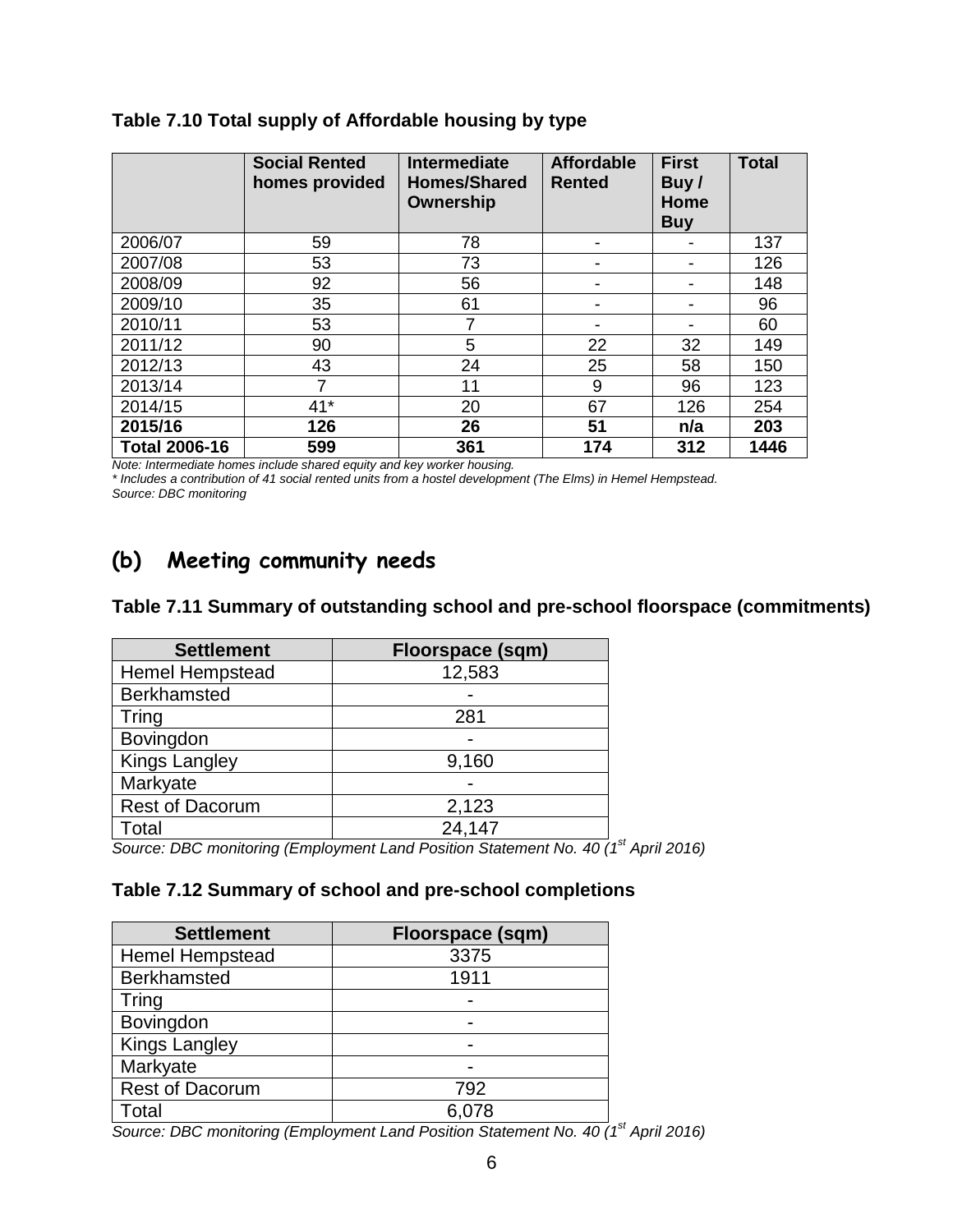|                      | <b>Social Rented</b><br>homes provided | <b>Intermediate</b><br><b>Homes/Shared</b><br>Ownership | <b>Affordable</b><br><b>Rented</b> | <b>First</b><br>Buy/<br>Home<br><b>Buy</b> | <b>Total</b> |
|----------------------|----------------------------------------|---------------------------------------------------------|------------------------------------|--------------------------------------------|--------------|
| 2006/07              | 59                                     | 78                                                      |                                    |                                            | 137          |
| 2007/08              | 53                                     | 73                                                      |                                    |                                            | 126          |
| 2008/09              | 92                                     | 56                                                      |                                    |                                            | 148          |
| 2009/10              | 35                                     | 61                                                      |                                    |                                            | 96           |
| 2010/11              | 53                                     | 7                                                       |                                    |                                            | 60           |
| 2011/12              | 90                                     | 5                                                       | 22                                 | 32                                         | 149          |
| 2012/13              | 43                                     | 24                                                      | 25                                 | 58                                         | 150          |
| 2013/14              | 7                                      | 11                                                      | 9                                  | 96                                         | 123          |
| 2014/15              | $41*$                                  | 20                                                      | 67                                 | 126                                        | 254          |
| 2015/16              | 126                                    | 26                                                      | 51                                 | n/a                                        | 203          |
| <b>Total 2006-16</b> | 599                                    | 361                                                     | 174                                | 312                                        | 1446         |

#### **Table 7.10 Total supply of Affordable housing by type**

*Note: Intermediate homes include shared equity and key worker housing.* 

*\* Includes a contribution of 41 social rented units from a hostel development (The Elms) in Hemel Hempstead. Source: DBC monitoring*

## **(b) Meeting community needs**

#### **Table 7.11 Summary of outstanding school and pre-school floorspace (commitments)**

| <b>Settlement</b>      | <b>Floorspace (sqm)</b> |
|------------------------|-------------------------|
| <b>Hemel Hempstead</b> | 12,583                  |
| <b>Berkhamsted</b>     |                         |
| Tring                  | 281                     |
| Bovingdon              |                         |
| <b>Kings Langley</b>   | 9,160                   |
| Markyate               |                         |
| <b>Rest of Dacorum</b> | 2,123                   |
| Total                  | 24,147                  |

*Source: DBC monitoring (Employment Land Position Statement No. 40 (1st April 2016)*

#### **Table 7.12 Summary of school and pre-school completions**

| <b>Settlement</b>      | Floorspace (sqm) |
|------------------------|------------------|
| <b>Hemel Hempstead</b> | 3375             |
| <b>Berkhamsted</b>     | 1911             |
| Tring                  |                  |
| Bovingdon              |                  |
| <b>Kings Langley</b>   |                  |
| Markyate               |                  |
| <b>Rest of Dacorum</b> | 792              |
| Total                  | 6,078            |

*Source: DBC monitoring (Employment Land Position Statement No. 40 (1 st April 2016)*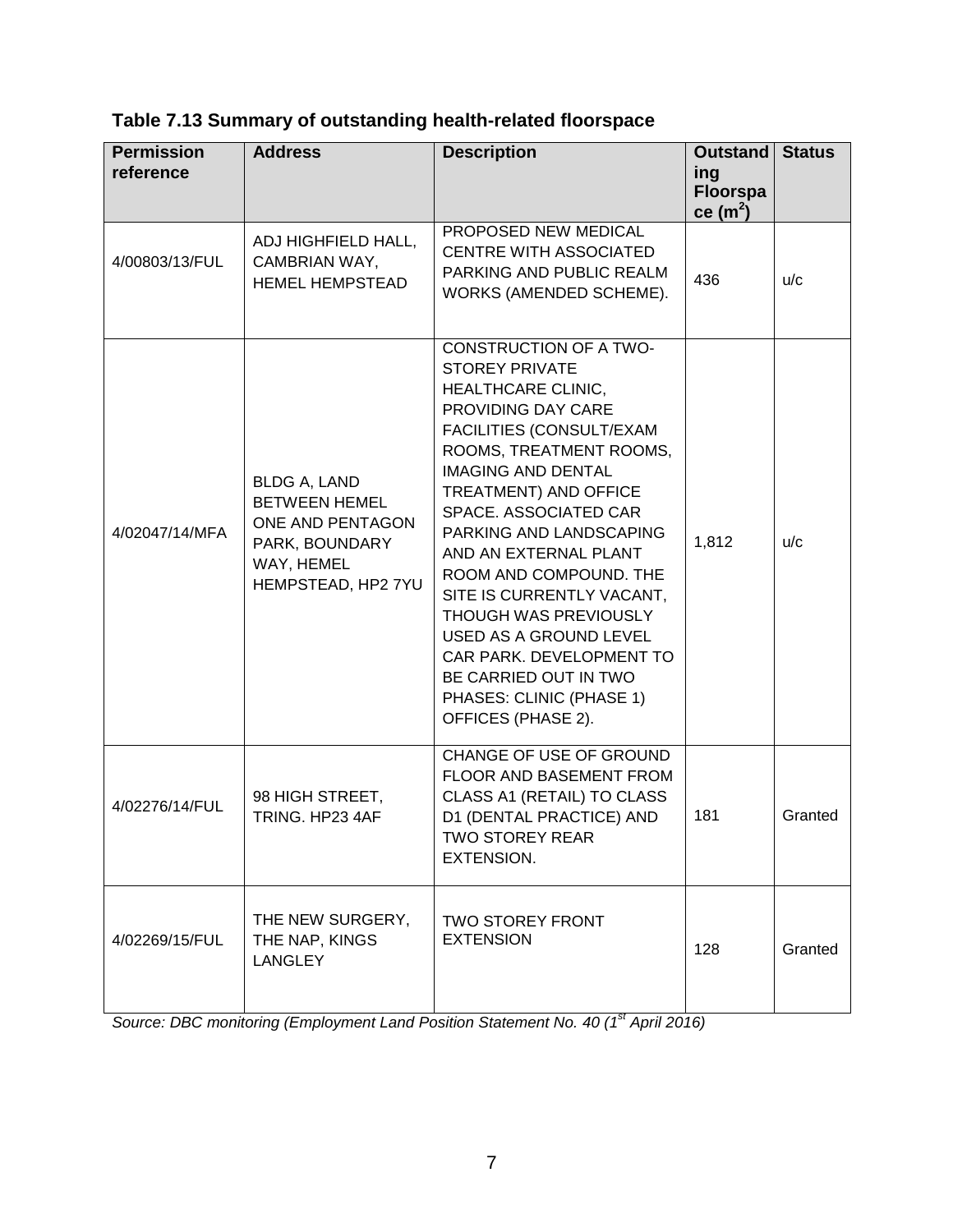| <b>Permission</b><br>reference | <b>Address</b>                                                                                                        | <b>Description</b>                                                                                                                                                                                                                                                                                                                                                                                                                                                                                                                 | Outstand<br>ing<br><b>Floorspa</b><br>ce $(m2)$ | <b>Status</b> |
|--------------------------------|-----------------------------------------------------------------------------------------------------------------------|------------------------------------------------------------------------------------------------------------------------------------------------------------------------------------------------------------------------------------------------------------------------------------------------------------------------------------------------------------------------------------------------------------------------------------------------------------------------------------------------------------------------------------|-------------------------------------------------|---------------|
| 4/00803/13/FUL                 | ADJ HIGHFIELD HALL,<br>CAMBRIAN WAY,<br><b>HEMEL HEMPSTEAD</b>                                                        | PROPOSED NEW MEDICAL<br><b>CENTRE WITH ASSOCIATED</b><br>PARKING AND PUBLIC REALM<br>WORKS (AMENDED SCHEME).                                                                                                                                                                                                                                                                                                                                                                                                                       | 436                                             | u/c           |
| 4/02047/14/MFA                 | <b>BLDG A, LAND</b><br><b>BETWEEN HEMEL</b><br>ONE AND PENTAGON<br>PARK, BOUNDARY<br>WAY, HEMEL<br>HEMPSTEAD, HP2 7YU | <b>CONSTRUCTION OF A TWO-</b><br><b>STOREY PRIVATE</b><br><b>HEALTHCARE CLINIC,</b><br>PROVIDING DAY CARE<br>FACILITIES (CONSULT/EXAM<br>ROOMS, TREATMENT ROOMS,<br><b>IMAGING AND DENTAL</b><br><b>TREATMENT) AND OFFICE</b><br>SPACE. ASSOCIATED CAR<br>PARKING AND LANDSCAPING<br>AND AN EXTERNAL PLANT<br>ROOM AND COMPOUND. THE<br>SITE IS CURRENTLY VACANT,<br><b>THOUGH WAS PREVIOUSLY</b><br>USED AS A GROUND LEVEL<br>CAR PARK. DEVELOPMENT TO<br>BE CARRIED OUT IN TWO<br>PHASES: CLINIC (PHASE 1)<br>OFFICES (PHASE 2). | 1,812                                           | u/c           |
| 4/02276/14/FUL                 | 98 HIGH STREET,<br>TRING. HP23 4AF                                                                                    | CHANGE OF USE OF GROUND<br>FLOOR AND BASEMENT FROM<br>CLASS A1 (RETAIL) TO CLASS<br>D1 (DENTAL PRACTICE) AND<br><b>TWO STOREY REAR</b><br>EXTENSION.                                                                                                                                                                                                                                                                                                                                                                               | 181                                             | Granted       |
| 4/02269/15/FUL                 | THE NEW SURGERY,<br>THE NAP, KINGS<br><b>LANGLEY</b>                                                                  | <b>TWO STOREY FRONT</b><br><b>EXTENSION</b>                                                                                                                                                                                                                                                                                                                                                                                                                                                                                        | 128                                             | Granted       |

*Source: DBC monitoring (Employment Land Position Statement No. 40 (1st April 2016)*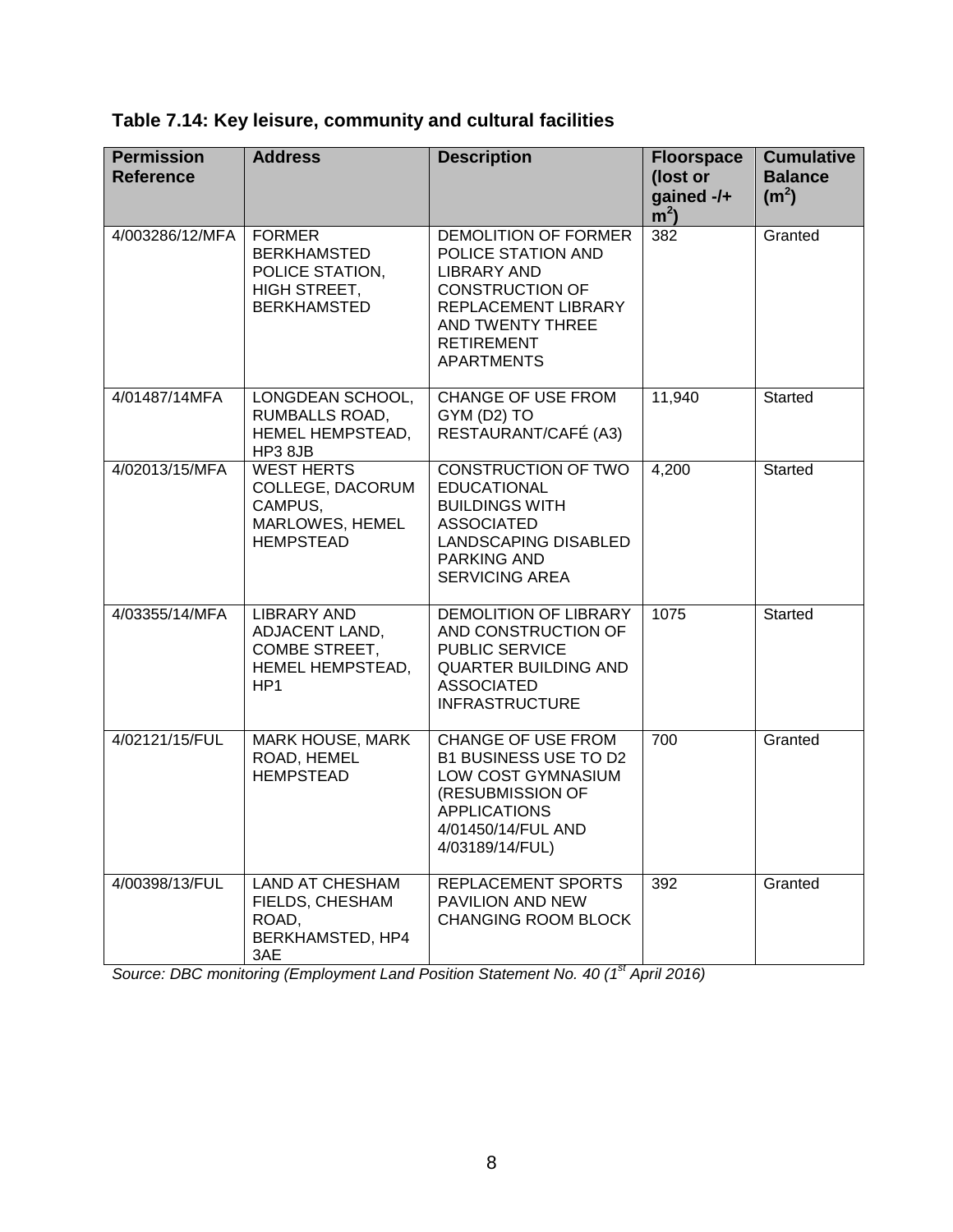**Table 7.14: Key leisure, community and cultural facilities**

| <b>Permission</b><br><b>Reference</b> | <b>Address</b>                                                                               | <b>Description</b>                                                                                                                                                              | <b>Floorspace</b><br>(lost or<br>gained -/+<br>m <sup>2</sup> | <b>Cumulative</b><br><b>Balance</b><br>(m <sup>2</sup> ) |
|---------------------------------------|----------------------------------------------------------------------------------------------|---------------------------------------------------------------------------------------------------------------------------------------------------------------------------------|---------------------------------------------------------------|----------------------------------------------------------|
| 4/003286/12/MFA                       | <b>FORMER</b><br><b>BERKHAMSTED</b><br>POLICE STATION,<br>HIGH STREET,<br><b>BERKHAMSTED</b> | DEMOLITION OF FORMER<br>POLICE STATION AND<br><b>LIBRARY AND</b><br><b>CONSTRUCTION OF</b><br>REPLACEMENT LIBRARY<br>AND TWENTY THREE<br><b>RETIREMENT</b><br><b>APARTMENTS</b> | 382                                                           | Granted                                                  |
| 4/01487/14MFA                         | LONGDEAN SCHOOL,<br>RUMBALLS ROAD,<br>HEMEL HEMPSTEAD,<br>HP3 8JB                            | <b>CHANGE OF USE FROM</b><br>GYM (D2) TO<br>RESTAURANT/CAFÉ (A3)                                                                                                                | 11,940                                                        | Started                                                  |
| 4/02013/15/MFA                        | <b>WEST HERTS</b><br>COLLEGE, DACORUM<br>CAMPUS,<br>MARLOWES, HEMEL<br><b>HEMPSTEAD</b>      | <b>CONSTRUCTION OF TWO</b><br><b>EDUCATIONAL</b><br><b>BUILDINGS WITH</b><br><b>ASSOCIATED</b><br><b>LANDSCAPING DISABLED</b><br><b>PARKING AND</b><br><b>SERVICING AREA</b>    | 4,200                                                         | <b>Started</b>                                           |
| 4/03355/14/MFA                        | <b>LIBRARY AND</b><br>ADJACENT LAND,<br>COMBE STREET,<br>HEMEL HEMPSTEAD,<br>HP <sub>1</sub> | DEMOLITION OF LIBRARY<br>AND CONSTRUCTION OF<br><b>PUBLIC SERVICE</b><br><b>QUARTER BUILDING AND</b><br><b>ASSOCIATED</b><br><b>INFRASTRUCTURE</b>                              | 1075                                                          | <b>Started</b>                                           |
| 4/02121/15/FUL                        | <b>MARK HOUSE, MARK</b><br>ROAD, HEMEL<br><b>HEMPSTEAD</b>                                   | <b>CHANGE OF USE FROM</b><br>B1 BUSINESS USE TO D2<br>LOW COST GYMNASIUM<br>(RESUBMISSION OF<br><b>APPLICATIONS</b><br>4/01450/14/FUL AND<br>4/03189/14/FUL)                    | 700                                                           | Granted                                                  |
| 4/00398/13/FUL                        | <b>LAND AT CHESHAM</b><br>FIELDS, CHESHAM<br>ROAD,<br>BERKHAMSTED, HP4<br>3AE                | REPLACEMENT SPORTS<br>PAVILION AND NEW<br><b>CHANGING ROOM BLOCK</b>                                                                                                            | 392                                                           | Granted                                                  |

*Source: DBC monitoring (Employment Land Position Statement No. 40 (1st April 2016)*